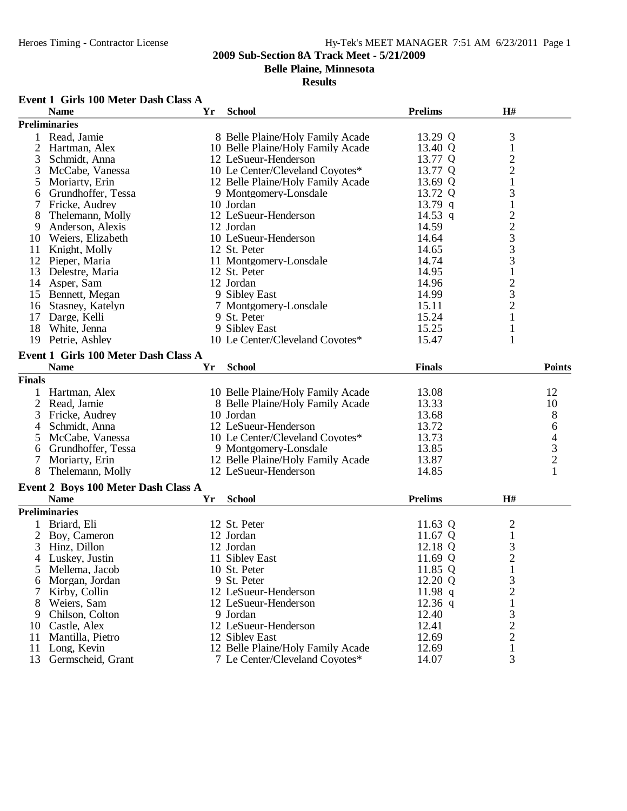**Belle Plaine, Minnesota**

#### **Results**

# **Event 1 Girls 100 Meter Dash Class A**

|                | <b>Name</b>                                        | Yr | <b>School</b>                     | <b>Prelims</b> | H#                                         |                                                 |
|----------------|----------------------------------------------------|----|-----------------------------------|----------------|--------------------------------------------|-------------------------------------------------|
|                | <b>Preliminaries</b>                               |    |                                   |                |                                            |                                                 |
| 1              | Read, Jamie                                        |    | 8 Belle Plaine/Holy Family Acade  | 13.29 Q        | 3                                          |                                                 |
| $\overline{2}$ | Hartman, Alex                                      |    | 10 Belle Plaine/Holy Family Acade | 13.40 Q        | $\,1\,$                                    |                                                 |
| 3              | Schmidt, Anna                                      |    | 12 LeSueur-Henderson              | 13.77 Q        |                                            |                                                 |
| 3              | McCabe, Vanessa                                    |    | 10 Le Center/Cleveland Coyotes*   | 13.77 Q        | $\frac{2}{2}$                              |                                                 |
| 5              | Moriarty, Erin                                     |    | 12 Belle Plaine/Holy Family Acade | 13.69 Q        | $\mathbf{1}$                               |                                                 |
| 6              | Grundhoffer, Tessa                                 |    | 9 Montgomery-Lonsdale             | 13.72 Q        | 3                                          |                                                 |
| 7              | Fricke, Audrey                                     |    | 10 Jordan                         | $13.79$ q      |                                            |                                                 |
| 8              | Thelemann, Molly                                   |    | 12 LeSueur-Henderson              | 14.53 q        |                                            |                                                 |
| 9              | Anderson, Alexis                                   |    | 12 Jordan                         | 14.59          |                                            |                                                 |
| 10             | Weiers, Elizabeth                                  |    | 10 LeSueur-Henderson              | 14.64          |                                            |                                                 |
| 11             | Knight, Molly                                      |    | 12 St. Peter                      | 14.65          |                                            |                                                 |
| 12             | Pieper, Maria                                      |    | 11 Montgomery-Lonsdale            | 14.74          |                                            |                                                 |
| 13             | Delestre, Maria                                    |    | 12 St. Peter                      | 14.95          |                                            |                                                 |
|                | 14 Asper, Sam                                      |    | 12 Jordan                         | 14.96          |                                            |                                                 |
| 15             | Bennett, Megan                                     |    | 9 Sibley East                     | 14.99          |                                            |                                                 |
| 16             | Stasney, Katelyn                                   |    | 7 Montgomery-Lonsdale             | 15.11          | 12233312321                                |                                                 |
|                | 17 Darge, Kelli                                    |    | 9 St. Peter                       | 15.24          |                                            |                                                 |
| 18             | White, Jenna                                       |    | 9 Sibley East                     | 15.25          | $\mathbf{1}$                               |                                                 |
| 19             | Petrie, Ashley                                     |    | 10 Le Center/Cleveland Coyotes*   | 15.47          | 1                                          |                                                 |
|                |                                                    |    |                                   |                |                                            |                                                 |
|                | Event 1 Girls 100 Meter Dash Class A               |    |                                   |                |                                            |                                                 |
|                | <b>Name</b>                                        | Yr | <b>School</b>                     | <b>Finals</b>  |                                            | <b>Points</b>                                   |
| <b>Finals</b>  |                                                    |    |                                   |                |                                            |                                                 |
|                | Hartman, Alex                                      |    | 10 Belle Plaine/Holy Family Acade | 13.08          |                                            | 12                                              |
| 2              | Read, Jamie                                        |    | 8 Belle Plaine/Holy Family Acade  | 13.33          |                                            | 10                                              |
| 3              | Fricke, Audrey                                     |    | 10 Jordan                         | 13.68          |                                            | 8                                               |
| 4              | Schmidt, Anna                                      |    | 12 LeSueur-Henderson              | 13.72          |                                            | 6                                               |
| 5              | McCabe, Vanessa                                    |    | 10 Le Center/Cleveland Coyotes*   | 13.73          |                                            |                                                 |
| 6              | Grundhoffer, Tessa                                 |    | 9 Montgomery-Lonsdale             | 13.85          |                                            |                                                 |
|                | Moriarty, Erin                                     |    | 12 Belle Plaine/Holy Family Acade | 13.87          |                                            | $\begin{array}{c} 4 \\ 3 \\ 2 \\ 1 \end{array}$ |
| 8              | Thelemann, Molly                                   |    | 12 LeSueur-Henderson              | 14.85          |                                            |                                                 |
|                |                                                    |    |                                   |                |                                            |                                                 |
|                | Event 2 Boys 100 Meter Dash Class A<br><b>Name</b> | Yr | <b>School</b>                     | <b>Prelims</b> | H#                                         |                                                 |
|                |                                                    |    |                                   |                |                                            |                                                 |
|                | <b>Preliminaries</b>                               |    |                                   |                |                                            |                                                 |
| 1              | Briard, Eli                                        |    | 12 St. Peter                      | 11.63 Q        | $\overline{c}$                             |                                                 |
| 2              | Boy, Cameron                                       |    | 12 Jordan                         | 11.67 Q        | $\mathbf 1$                                |                                                 |
| 3              | Hinz, Dillon                                       |    | 12 Jordan                         | 12.18 Q        | $\frac{3}{2}$                              |                                                 |
| 4              | Luskey, Justin                                     |    | 11 Sibley East                    | 11.69 Q        |                                            |                                                 |
| 5              | Mellema, Jacob                                     |    | 10 St. Peter                      | 11.85 Q        | $\mathbf{1}$                               |                                                 |
| 6              | Morgan, Jordan                                     |    | 9 St. Peter                       | 12.20 Q        | 3                                          |                                                 |
|                | Kirby, Collin                                      |    | 12 LeSueur-Henderson              | 11.98 $q$      | $\overline{c}$                             |                                                 |
| 8              | Weiers, Sam                                        |    | 12 LeSueur-Henderson              | $12.36$ q      | $\mathbf{1}$                               |                                                 |
| 9              | Chilson, Colton                                    |    | 9 Jordan                          | 12.40          |                                            |                                                 |
| 10             | Castle, Alex                                       |    | 12 LeSueur-Henderson              | 12.41          | $\begin{array}{c} 3 \\ 2 \\ 2 \end{array}$ |                                                 |
| 11             | Mantilla, Pietro                                   |    | 12 Sibley East                    | 12.69          |                                            |                                                 |
| 11             | Long, Kevin                                        |    | 12 Belle Plaine/Holy Family Acade | 12.69          | $\mathbf 1$                                |                                                 |
| 13             | Germscheid, Grant                                  |    | 7 Le Center/Cleveland Coyotes*    | 14.07          | 3                                          |                                                 |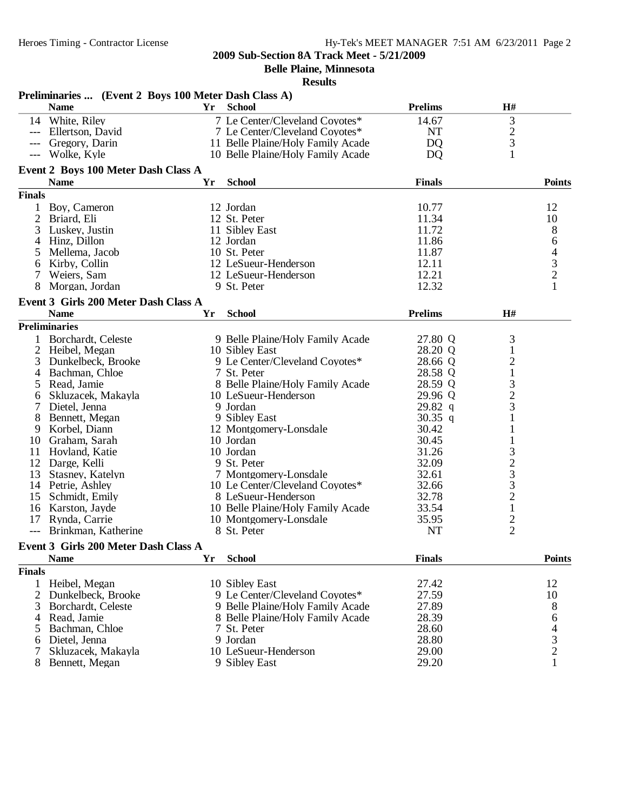**Belle Plaine, Minnesota**

|                | Preliminaries  (Event 2 Boys 100 Meter Dash Class A) |    |                                   |                |                |                                            |
|----------------|------------------------------------------------------|----|-----------------------------------|----------------|----------------|--------------------------------------------|
|                | <b>Name</b>                                          | Yr | <b>School</b>                     | <b>Prelims</b> | H#             |                                            |
|                | 14 White, Riley                                      |    | 7 Le Center/Cleveland Coyotes*    | 14.67          | 3              |                                            |
|                | --- Ellertson, David                                 |    | 7 Le Center/Cleveland Coyotes*    | NT             | $rac{2}{3}$    |                                            |
|                | Gregory, Darin                                       |    | 11 Belle Plaine/Holy Family Acade | <b>DQ</b>      |                |                                            |
|                | Wolke, Kyle                                          |    | 10 Belle Plaine/Holy Family Acade | <b>DQ</b>      | $\mathbf{1}$   |                                            |
|                | Event 2 Boys 100 Meter Dash Class A                  |    |                                   |                |                |                                            |
|                | <b>Name</b>                                          | Yr | <b>School</b>                     | <b>Finals</b>  |                | <b>Points</b>                              |
| <b>Finals</b>  |                                                      |    |                                   |                |                |                                            |
| 1              | Boy, Cameron                                         |    | 12 Jordan                         | 10.77          |                | 12                                         |
| $\overline{2}$ | Briard, Eli                                          |    | 12 St. Peter                      | 11.34          |                | 10                                         |
| 3              | Luskey, Justin                                       |    | 11 Sibley East                    | 11.72          |                | 8                                          |
| 4              | Hinz, Dillon                                         |    | 12 Jordan                         | 11.86          |                | 6                                          |
| 5              | Mellema, Jacob                                       |    | 10 St. Peter                      | 11.87          |                |                                            |
| 6              | Kirby, Collin                                        |    | 12 LeSueur-Henderson              | 12.11          |                | $\begin{array}{c} 4 \\ 3 \\ 2 \end{array}$ |
|                | Weiers, Sam                                          |    | 12 LeSueur-Henderson              | 12.21          |                |                                            |
| 8              | Morgan, Jordan                                       |    | 9 St. Peter                       | 12.32          |                |                                            |
|                | Event 3 Girls 200 Meter Dash Class A                 |    |                                   |                |                |                                            |
|                | <b>Name</b>                                          | Yr | <b>School</b>                     | <b>Prelims</b> | H#             |                                            |
|                | <b>Preliminaries</b>                                 |    |                                   |                |                |                                            |
|                | 1 Borchardt, Celeste                                 |    | 9 Belle Plaine/Holy Family Acade  | 27.80 Q        | 3              |                                            |
|                | 2 Heibel, Megan                                      |    | 10 Sibley East                    | 28.20 Q        | $\mathbf{1}$   |                                            |
| 3              | Dunkelbeck, Brooke                                   |    | 9 Le Center/Cleveland Coyotes*    | 28.66 Q        | $\overline{c}$ |                                            |
| 4              | Bachman, Chloe                                       |    | 7 St. Peter                       | 28.58 Q        | $\mathbf{1}$   |                                            |
| 5              | Read, Jamie                                          |    | 8 Belle Plaine/Holy Family Acade  | 28.59 Q        | 3              |                                            |
| 6              | Skluzacek, Makayla                                   |    | 10 LeSueur-Henderson              | 29.96 Q        | $\overline{c}$ |                                            |
| 7              | Dietel, Jenna                                        |    | 9 Jordan                          | 29.82 q        | 3              |                                            |
| 8              | Bennett, Megan                                       |    | 9 Sibley East                     | 30.35 q        |                |                                            |
| 9              | Korbel, Diann                                        |    | 12 Montgomery-Lonsdale            | 30.42          |                |                                            |
| 10             | Graham, Sarah                                        |    | 10 Jordan                         | 30.45          |                |                                            |
| 11             | Hovland, Katie                                       |    | 10 Jordan                         | 31.26          |                |                                            |
|                | 12 Darge, Kelli                                      |    | 9 St. Peter                       | 32.09          |                |                                            |
| 13             | Stasney, Katelyn                                     |    | 7 Montgomery-Lonsdale             | 32.61          | $\frac{3}{2}$  |                                            |
|                | 14 Petrie, Ashley                                    |    | 10 Le Center/Cleveland Coyotes*   | 32.66          | 3              |                                            |
|                | 15 Schmidt, Emily                                    |    | 8 LeSueur-Henderson               | 32.78          | $\overline{c}$ |                                            |
|                | 16 Karston, Jayde                                    |    | 10 Belle Plaine/Holy Family Acade | 33.54          | $\,1$          |                                            |
| 17             | Rynda, Carrie                                        |    | 10 Montgomery-Lonsdale            | 35.95          |                |                                            |
|                | Brinkman, Katherine                                  |    | 8 St. Peter                       | <b>NT</b>      | $\frac{2}{2}$  |                                            |
|                |                                                      |    |                                   |                |                |                                            |
|                | Event 3 Girls 200 Meter Dash Class A                 |    |                                   | <b>Finals</b>  |                | <b>Points</b>                              |
|                | <b>Name</b>                                          | Yr | <b>School</b>                     |                |                |                                            |
| <b>Finals</b>  |                                                      |    |                                   |                |                |                                            |
|                | 1 Heibel, Megan                                      |    | 10 Sibley East                    | 27.42          |                | 12                                         |
|                | 2 Dunkelbeck, Brooke                                 |    | 9 Le Center/Cleveland Coyotes*    | 27.59          |                | 10                                         |
| 3              | Borchardt, Celeste                                   |    | 9 Belle Plaine/Holy Family Acade  | 27.89          |                | 8                                          |
| 4              | Read, Jamie                                          |    | 8 Belle Plaine/Holy Family Acade  | 28.39          |                | 6                                          |
| 5              | Bachman, Chloe                                       |    | 7 St. Peter                       | 28.60          |                | $\begin{array}{c} 4 \\ 3 \\ 2 \end{array}$ |
| 6              | Dietel, Jenna                                        |    | 9 Jordan                          | 28.80          |                |                                            |
|                | Skluzacek, Makayla                                   |    | 10 LeSueur-Henderson              | 29.00          |                |                                            |
| 8              | Bennett, Megan                                       |    | 9 Sibley East                     | 29.20          |                | $\mathbf{1}$                               |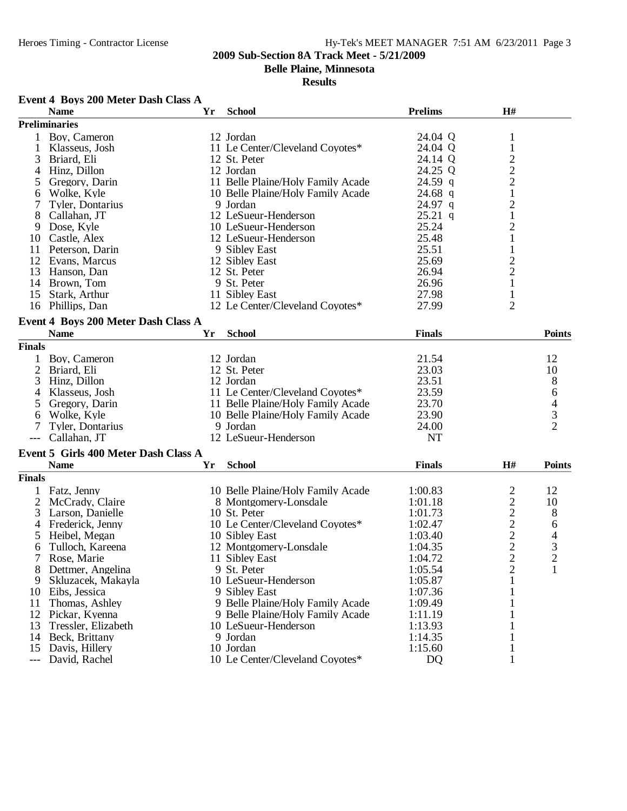**Belle Plaine, Minnesota**

**Results**

## **Event 4 Boys 200 Meter Dash Class A**

|                     | <b>Name</b>                          | Yr | <b>School</b>                     | <b>Prelims</b> | H#                                         |                |
|---------------------|--------------------------------------|----|-----------------------------------|----------------|--------------------------------------------|----------------|
|                     | <b>Preliminaries</b>                 |    |                                   |                |                                            |                |
|                     | 1 Boy, Cameron                       |    | 12 Jordan                         | 24.04 Q        | 1                                          |                |
| 1                   | Klasseus, Josh                       |    | 11 Le Center/Cleveland Coyotes*   | 24.04 Q        | $\mathbf{1}$                               |                |
| 3                   | Briard, Eli                          |    | 12 St. Peter                      | 24.14 Q        |                                            |                |
| 4                   | Hinz, Dillon                         |    | 12 Jordan                         | 24.25 Q        |                                            |                |
| 5                   | Gregory, Darin                       |    | 11 Belle Plaine/Holy Family Acade | 24.59 q        | $\frac{2}{2}$                              |                |
| 6                   | Wolke, Kyle                          |    | 10 Belle Plaine/Holy Family Acade | $24.68$ q      | $\mathbf 1$                                |                |
| 7                   | Tyler, Dontarius                     |    | 9 Jordan                          | 24.97 q        |                                            |                |
| 8                   | Callahan, JT                         |    | 12 LeSueur-Henderson              | $25.21$ q      | $\frac{2}{1}$                              |                |
| 9                   | Dose, Kyle                           |    | 10 LeSueur-Henderson              | 25.24          | $\overline{c}$                             |                |
| 10                  | Castle, Alex                         |    | 12 LeSueur-Henderson              | 25.48          | $\mathbf{1}$                               |                |
| 11                  | Peterson, Darin                      |    | 9 Sibley East                     | 25.51          | $\mathbf{1}$                               |                |
| 12                  |                                      |    | 12 Sibley East                    | 25.69          |                                            |                |
|                     | Evans, Marcus                        |    |                                   |                | $\frac{2}{2}$                              |                |
| 13                  | Hanson, Dan                          |    | 12 St. Peter                      | 26.94          |                                            |                |
|                     | 14 Brown, Tom                        |    | 9 St. Peter                       | 26.96          | $\mathbf{1}$                               |                |
| 15                  | Stark, Arthur                        |    | 11 Sibley East                    | 27.98          | 1                                          |                |
| 16                  | Phillips, Dan                        |    | 12 Le Center/Cleveland Coyotes*   | 27.99          | $\overline{2}$                             |                |
|                     | Event 4 Boys 200 Meter Dash Class A  |    |                                   |                |                                            |                |
|                     | <b>Name</b>                          | Yr | <b>School</b>                     | <b>Finals</b>  |                                            | <b>Points</b>  |
| <b>Finals</b>       |                                      |    |                                   |                |                                            |                |
|                     | Boy, Cameron                         |    | 12 Jordan                         | 21.54          |                                            | 12             |
| $\overline{2}$      | Briard, Eli                          |    | 12 St. Peter                      | 23.03          |                                            | 10             |
| 3                   | Hinz, Dillon                         |    | 12 Jordan                         | 23.51          |                                            | 8              |
| 4                   | Klasseus, Josh                       |    | 11 Le Center/Cleveland Coyotes*   | 23.59          |                                            | 6              |
| 5                   | Gregory, Darin                       |    | 11 Belle Plaine/Holy Family Acade | 23.70          |                                            | $\overline{4}$ |
|                     |                                      |    | 10 Belle Plaine/Holy Family Acade | 23.90          |                                            | 3              |
| 6                   | Wolke, Kyle                          |    |                                   |                |                                            | $\overline{2}$ |
|                     | Tyler, Dontarius                     |    | 9 Jordan                          | 24.00          |                                            |                |
| $\qquad \qquad - -$ | Callahan, JT                         |    | 12 LeSueur-Henderson              | <b>NT</b>      |                                            |                |
|                     | Event 5 Girls 400 Meter Dash Class A |    |                                   |                |                                            |                |
|                     | <b>Name</b>                          | Yr | <b>School</b>                     | <b>Finals</b>  | H#                                         | <b>Points</b>  |
| <b>Finals</b>       |                                      |    |                                   |                |                                            |                |
|                     | Fatz, Jenny                          |    | 10 Belle Plaine/Holy Family Acade | 1:00.83        |                                            | 12             |
| $\overline{2}$      | McCrady, Claire                      |    | 8 Montgomery-Lonsdale             | 1:01.18        | $\begin{array}{c} 2 \\ 2 \\ 2 \end{array}$ | 10             |
| 3                   | Larson, Danielle                     |    | 10 St. Peter                      | 1:01.73        |                                            | 8              |
| 4                   | Frederick, Jenny                     |    | 10 Le Center/Cleveland Coyotes*   | 1:02.47        |                                            | 6              |
| 5                   | Heibel, Megan                        |    | 10 Sibley East                    | 1:03.40        |                                            | 4              |
| 6                   | Tulloch, Kareena                     |    | 12 Montgomery-Lonsdale            | 1:04.35        | $\frac{2}{2}$                              |                |
|                     | Rose, Marie                          |    | 11 Sibley East                    | 1:04.72        |                                            | $\frac{3}{2}$  |
| $\Omega$            | Dettmer, Angelina                    |    | 9 St. Peter                       | 1:05.54        | $\overline{c}$                             | $\mathbf{1}$   |
| ŏ<br>9              | Skluzacek, Makayla                   |    | 10 LeSueur-Henderson              | 1:05.87        | 1                                          |                |
| 10                  |                                      |    |                                   | 1:07.36        |                                            |                |
|                     | Eibs, Jessica                        |    | 9 Sibley East                     |                |                                            |                |
| 11                  | Thomas, Ashley                       |    | 9 Belle Plaine/Holy Family Acade  | 1:09.49        |                                            |                |
|                     | 12 Pickar, Kyenna                    |    | 9 Belle Plaine/Holy Family Acade  | 1:11.19        |                                            |                |
| 13                  | Tressler, Elizabeth                  |    | 10 LeSueur-Henderson              | 1:13.93        |                                            |                |
| 14                  | Beck, Brittany                       |    | 9 Jordan                          | 1:14.35        |                                            |                |
| 15                  | Davis, Hillery                       |    | 10 Jordan                         | 1:15.60        | 1                                          |                |
| $---$               | David, Rachel                        |    | 10 Le Center/Cleveland Coyotes*   | <b>DQ</b>      | 1                                          |                |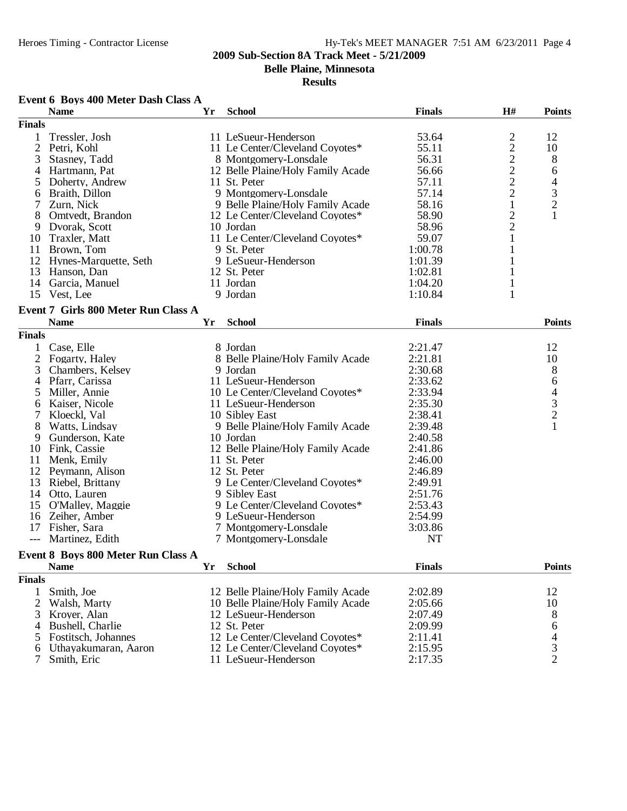**Belle Plaine, Minnesota**

**Results**

## **Event 6 Boys 400 Meter Dash Class A**

|                | <b>Name</b>                         | Yr | <b>School</b>                     | <b>Finals</b> | H#                | <b>Points</b>                              |
|----------------|-------------------------------------|----|-----------------------------------|---------------|-------------------|--------------------------------------------|
| <b>Finals</b>  |                                     |    |                                   |               |                   |                                            |
| 1              | Tressler, Josh                      |    | 11 LeSueur-Henderson              | 53.64         |                   | 12                                         |
| $\overline{c}$ | Petri, Kohl                         |    | 11 Le Center/Cleveland Coyotes*   | 55.11         | $22222$<br>$2221$ | 10                                         |
| 3              | Stasney, Tadd                       |    | 8 Montgomery-Lonsdale             | 56.31         |                   | 8                                          |
| 4              | Hartmann, Pat                       |    | 12 Belle Plaine/Holy Family Acade | 56.66         |                   | 6                                          |
| 5              | Doherty, Andrew                     |    | 11 St. Peter                      | 57.11         |                   | 4                                          |
| 6              | Braith, Dillon                      |    | 9 Montgomery-Lonsdale             | 57.14         |                   |                                            |
| 7              | Zurn, Nick                          |    | 9 Belle Plaine/Holy Family Acade  | 58.16         |                   | $\frac{3}{2}$                              |
| 8              | Omtvedt, Brandon                    |    | 12 Le Center/Cleveland Coyotes*   | 58.90         |                   |                                            |
| 9              | Dvorak, Scott                       |    | 10 Jordan                         | 58.96         | $\frac{2}{2}$     |                                            |
| 10             | Traxler, Matt                       |    | 11 Le Center/Cleveland Coyotes*   | 59.07         | $\mathbf{1}$      |                                            |
| 11             | Brown, Tom                          |    | 9 St. Peter                       | 1:00.78       | $\mathbf{1}$      |                                            |
|                |                                     |    |                                   |               |                   |                                            |
| 12             | Hynes-Marquette, Seth               |    | 9 LeSueur-Henderson               | 1:01.39       | $\mathbf{1}$      |                                            |
| 13             | Hanson, Dan                         |    | 12 St. Peter                      | 1:02.81       | $\mathbf{1}$      |                                            |
| 14             | Garcia, Manuel                      |    | 11 Jordan                         | 1:04.20       | $\mathbf{1}$      |                                            |
|                | 15 Vest, Lee                        |    | 9 Jordan                          | 1:10.84       | 1                 |                                            |
|                | Event 7 Girls 800 Meter Run Class A |    |                                   |               |                   |                                            |
|                | <b>Name</b>                         | Yr | <b>School</b>                     | <b>Finals</b> |                   | <b>Points</b>                              |
| <b>Finals</b>  |                                     |    |                                   |               |                   |                                            |
| 1              | Case, Elle                          |    | 8 Jordan                          | 2:21.47       |                   | 12                                         |
| $\overline{2}$ | Fogarty, Haley                      |    | 8 Belle Plaine/Holy Family Acade  | 2:21.81       |                   | 10                                         |
| 3              | Chambers, Kelsey                    |    | 9 Jordan                          | 2:30.68       |                   | $\boldsymbol{8}$                           |
| 4              | Pfarr, Carissa                      |    | 11 LeSueur-Henderson              | 2:33.62       |                   | 6                                          |
|                | Miller, Annie                       |    | 10 Le Center/Cleveland Coyotes*   | 2:33.94       |                   |                                            |
| 5              |                                     |    |                                   |               |                   | $\begin{array}{c} 4 \\ 3 \\ 2 \end{array}$ |
| 6              | Kaiser, Nicole                      |    | 11 LeSueur-Henderson              | 2:35.30       |                   |                                            |
| 7              | Kloeckl, Val                        |    | 10 Sibley East                    | 2:38.41       |                   |                                            |
| 8              | Watts, Lindsay                      |    | 9 Belle Plaine/Holy Family Acade  | 2:39.48       |                   | $\mathbf{1}$                               |
| 9              | Gunderson, Kate                     |    | 10 Jordan                         | 2:40.58       |                   |                                            |
| 10             | Fink, Cassie                        |    | 12 Belle Plaine/Holy Family Acade | 2:41.86       |                   |                                            |
| 11             | Menk, Emily                         |    | 11 St. Peter                      | 2:46.00       |                   |                                            |
| 12             | Peymann, Alison                     |    | 12 St. Peter                      | 2:46.89       |                   |                                            |
| 13             | Riebel, Brittany                    |    | 9 Le Center/Cleveland Coyotes*    | 2:49.91       |                   |                                            |
| 14             | Otto, Lauren                        |    | 9 Sibley East                     | 2:51.76       |                   |                                            |
| 15             | O'Malley, Maggie                    |    | 9 Le Center/Cleveland Coyotes*    | 2:53.43       |                   |                                            |
| 16             | Zeiher, Amber                       |    | 9 LeSueur-Henderson               | 2:54.99       |                   |                                            |
|                | 17 Fisher, Sara                     |    | 7 Montgomery-Lonsdale             | 3:03.86       |                   |                                            |
| $---$          | Martinez, Edith                     |    | 7 Montgomery-Lonsdale             | NT            |                   |                                            |
|                | Event 8 Boys 800 Meter Run Class A  |    |                                   |               |                   |                                            |
|                | <b>Name</b>                         |    | Yr School                         | <b>Finals</b> |                   | <b>Points</b>                              |
|                |                                     |    |                                   |               |                   |                                            |
| <b>Finals</b>  |                                     |    |                                   |               |                   |                                            |
| 1              | Smith, Joe                          |    | 12 Belle Plaine/Holy Family Acade | 2:02.89       |                   | 12                                         |
| $\overline{2}$ | Walsh, Marty                        |    | 10 Belle Plaine/Holy Family Acade | 2:05.66       |                   | 10                                         |
| 3              | Kroyer, Alan                        |    | 12 LeSueur-Henderson              | 2:07.49       |                   | 8                                          |
| 4              | Bushell, Charlie                    |    | 12 St. Peter                      | 2:09.99       |                   | 6                                          |
| 5              | Fostitsch, Johannes                 |    | 12 Le Center/Cleveland Coyotes*   | 2:11.41       |                   | 4                                          |
| 6              | Uthayakumaran, Aaron                |    | 12 Le Center/Cleveland Coyotes*   | 2:15.95       |                   | 3                                          |
| 7              | Smith, Eric                         |    | 11 LeSueur-Henderson              | 2:17.35       |                   | $\overline{2}$                             |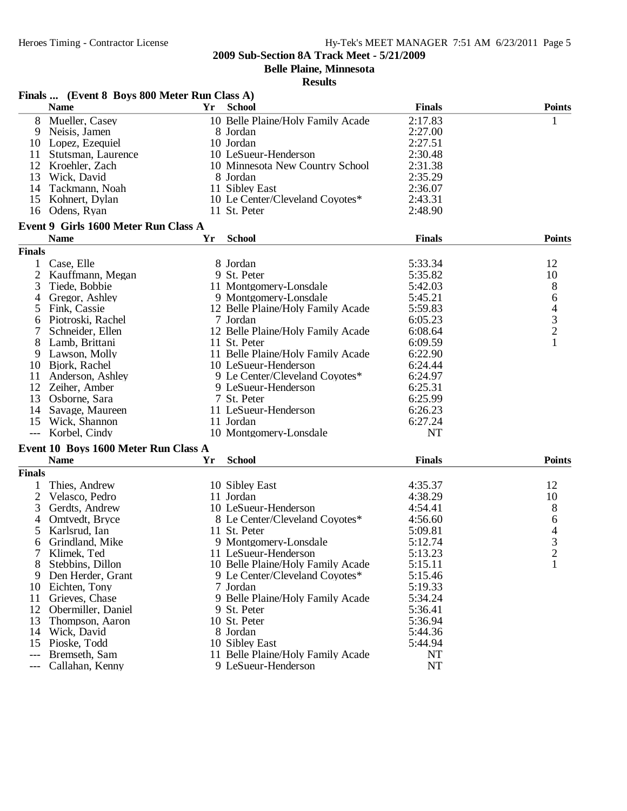**Belle Plaine, Minnesota**

|                | Finals  (Event 8 Boys 800 Meter Run Class A) |    |                                   |               |                |
|----------------|----------------------------------------------|----|-----------------------------------|---------------|----------------|
|                | <b>Name</b>                                  | Yr | <b>School</b>                     | <b>Finals</b> | <b>Points</b>  |
| 8              | Mueller, Casey                               |    | 10 Belle Plaine/Holy Family Acade | 2:17.83       | 1              |
| 9              | Neisis, Jamen                                |    | 8 Jordan                          | 2:27.00       |                |
| 10             | Lopez, Ezequiel                              |    | 10 Jordan                         | 2:27.51       |                |
| 11             | Stutsman, Laurence                           |    | 10 LeSueur-Henderson              | 2:30.48       |                |
| 12             | Kroehler, Zach                               |    | 10 Minnesota New Country School   | 2:31.38       |                |
| 13             | Wick, David                                  |    | 8 Jordan                          | 2:35.29       |                |
| 14             | Tackmann, Noah                               |    | 11 Sibley East                    | 2:36.07       |                |
| 15             | Kohnert, Dylan                               |    | 10 Le Center/Cleveland Coyotes*   | 2:43.31       |                |
|                | 16 Odens, Ryan                               |    | 11 St. Peter                      | 2:48.90       |                |
|                | Event 9 Girls 1600 Meter Run Class A         |    |                                   |               |                |
|                | <b>Name</b>                                  | Yr | <b>School</b>                     | <b>Finals</b> | <b>Points</b>  |
| <b>Finals</b>  |                                              |    |                                   |               |                |
|                | Case, Elle                                   |    | 8 Jordan                          | 5:33.34       | 12             |
| $\overline{c}$ | Kauffmann, Megan                             |    | 9 St. Peter                       | 5:35.82       | 10             |
| 3              | Tiede, Bobbie                                |    | 11 Montgomery-Lonsdale            | 5:42.03       | 8              |
| 4              | Gregor, Ashley                               |    | 9 Montgomery-Lonsdale             | 5:45.21       |                |
| 5              | Fink, Cassie                                 |    | 12 Belle Plaine/Holy Family Acade | 5:59.83       |                |
| 6              | Piotroski, Rachel                            |    | 7 Jordan                          | 6:05.23       | $64$<br>3<br>2 |
| 7              | Schneider, Ellen                             |    | 12 Belle Plaine/Holy Family Acade | 6:08.64       |                |
| 8              | Lamb, Brittani                               |    | 11 St. Peter                      | 6:09.59       | $\mathbf{1}$   |
| 9              | Lawson, Molly                                |    | 11 Belle Plaine/Holy Family Acade | 6:22.90       |                |
| 10             | Bjork, Rachel                                |    | 10 LeSueur-Henderson              | 6:24.44       |                |
| 11             | Anderson, Ashley                             |    | 9 Le Center/Cleveland Coyotes*    | 6:24.97       |                |
| 12             | Zeiher, Amber                                |    | 9 LeSueur-Henderson               | 6:25.31       |                |
| 13             | Osborne, Sara                                |    | 7 St. Peter                       | 6:25.99       |                |
| 14             | Savage, Maureen                              |    | 11 LeSueur-Henderson              | 6:26.23       |                |
| 15             | Wick, Shannon                                |    | 11 Jordan                         | 6:27.24       |                |
|                |                                              |    | 10 Montgomery-Lonsdale            | <b>NT</b>     |                |
|                | --- Korbel, Cindy                            |    |                                   |               |                |
|                | Event 10 Boys 1600 Meter Run Class A         |    |                                   |               |                |
|                | <b>Name</b>                                  | Yr | <b>School</b>                     | <b>Finals</b> | <b>Points</b>  |
| <b>Finals</b>  |                                              |    |                                   |               |                |
|                | Thies, Andrew                                |    | 10 Sibley East                    | 4:35.37       | 12             |
| 2              | Velasco, Pedro                               |    | 11 Jordan                         | 4:38.29       | 10             |
| 3              | Gerdts, Andrew                               |    | 10 LeSueur-Henderson              | 4:54.41       | 8              |
| 4              | Omtvedt, Bryce                               |    | 8 Le Center/Cleveland Coyotes*    | 4:56.60       | 6              |
| 5              | Karlsrud, Ian                                |    | 11 St. Peter                      | 5:09.81       | $rac{4}{3}$    |
| 6              | Grindland, Mike                              |    | 9 Montgomery-Lonsdale             | 5:12.74       |                |
|                | Klimek, Ted                                  |    | 11 LeSueur-Henderson              | 5:13.23       | ∠              |
| 8              | Stebbins, Dillon                             |    | 10 Belle Plaine/Holy Family Acade | 5:15.11       | 1              |
| 9.             | Den Herder, Grant                            |    | 9 Le Center/Cleveland Coyotes*    | 5:15.46       |                |
|                | 10 Eichten, Tony                             |    | 7 Jordan                          | 5:19.33       |                |
| 11             | Grieves, Chase                               |    | 9 Belle Plaine/Holy Family Acade  | 5:34.24       |                |
|                | 12 Obermiller, Daniel                        |    | 9 St. Peter                       | 5:36.41       |                |
| 13             | Thompson, Aaron                              |    | 10 St. Peter                      | 5:36.94       |                |
| 14             | Wick, David                                  |    | 8 Jordan                          | 5:44.36       |                |
| 15             | Pioske, Todd                                 |    | 10 Sibley East                    | 5:44.94       |                |
| $---$          | Bremseth, Sam                                |    | 11 Belle Plaine/Holy Family Acade | <b>NT</b>     |                |
| ---            | Callahan, Kenny                              |    | 9 LeSueur-Henderson               | NT            |                |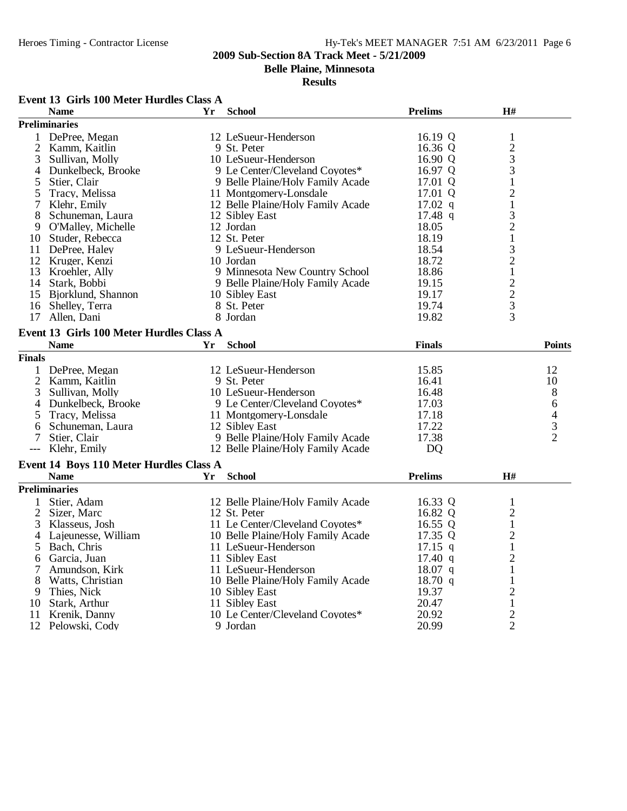**Belle Plaine, Minnesota**

#### **Results**

# **Event 13 Girls 100 Meter Hurdles Class A**

|                | <b>Name</b>                                            | Yr        | <b>School</b>                     | <b>Prelims</b>    | H#             |               |
|----------------|--------------------------------------------------------|-----------|-----------------------------------|-------------------|----------------|---------------|
|                | <b>Preliminaries</b>                                   |           |                                   |                   |                |               |
| 1              | DePree, Megan                                          |           | 12 LeSueur-Henderson              | 16.19 Q           | $\mathbf{1}$   |               |
| 2              | Kamm, Kaitlin                                          |           | 9 St. Peter                       | 16.36 Q           |                |               |
| 3              | Sullivan, Molly                                        |           | 10 LeSueur-Henderson              | 16.90 Q           | $\frac{2}{3}$  |               |
| 4              | Dunkelbeck, Brooke                                     |           | 9 Le Center/Cleveland Coyotes*    | 16.97 Q           | 3              |               |
| 5              | Stier, Clair                                           |           | 9 Belle Plaine/Holy Family Acade  | 17.01 Q           | $\mathbf{1}$   |               |
| 5              | Tracy, Melissa                                         |           | 11 Montgomery-Lonsdale            | 17.01 Q           | $\overline{2}$ |               |
| 7              | Klehr, Emily                                           |           | 12 Belle Plaine/Holy Family Acade | $17.02$ q         | $\,1$          |               |
| 8              | Schuneman, Laura                                       |           | 12 Sibley East                    | $17.48$ q         | 3              |               |
| 9.             | O'Malley, Michelle                                     |           | 12 Jordan                         | 18.05             | $\overline{c}$ |               |
|                | 10 Studer, Rebecca                                     |           | 12 St. Peter                      | 18.19             | $\,1$          |               |
| 11             | DePree, Haley                                          |           | 9 LeSueur-Henderson               | 18.54             | 3              |               |
|                | 12 Kruger, Kenzi                                       |           | 10 Jordan                         | 18.72             | $\overline{c}$ |               |
| 13             | Kroehler, Ally                                         |           | 9 Minnesota New Country School    | 18.86             | $\mathbf{1}$   |               |
| 14             | Stark, Bobbi                                           |           | 9 Belle Plaine/Holy Family Acade  | 19.15             | $\overline{c}$ |               |
|                | 15 Bjorklund, Shannon                                  |           | 10 Sibley East                    | 19.17             |                |               |
|                | 16 Shelley, Terra                                      |           | 8 St. Peter                       | 19.74             | $\frac{2}{3}$  |               |
| 17             | Allen, Dani                                            |           | 8 Jordan                          | 19.82             | $\overline{3}$ |               |
|                |                                                        |           |                                   |                   |                |               |
|                | Event 13 Girls 100 Meter Hurdles Class A               |           |                                   |                   |                |               |
|                | <b>Name</b>                                            | <b>Yr</b> | <b>School</b>                     | <b>Finals</b>     |                | <b>Points</b> |
| <b>Finals</b>  |                                                        |           |                                   |                   |                |               |
| $\mathbf{1}$   | DePree, Megan                                          |           | 12 LeSueur-Henderson              | 15.85             |                | 12            |
| $\mathfrak{2}$ | Kamm, Kaitlin                                          |           | 9 St. Peter                       | 16.41             |                | 10            |
| 3              | Sullivan, Molly                                        |           | 10 LeSueur-Henderson              | 16.48             |                | 8             |
| 4              | Dunkelbeck, Brooke                                     |           | 9 Le Center/Cleveland Coyotes*    | 17.03             |                | 6             |
| 5              | Tracy, Melissa                                         |           | 11 Montgomery-Lonsdale            | 17.18             |                |               |
| 6              | Schuneman, Laura                                       |           | 12 Sibley East                    | 17.22             |                | $\frac{4}{2}$ |
| 7              | Stier, Clair                                           |           | 9 Belle Plaine/Holy Family Acade  | 17.38             |                |               |
| $---$          | Klehr, Emily                                           |           | 12 Belle Plaine/Holy Family Acade | D <sub>O</sub>    |                |               |
|                |                                                        |           |                                   |                   |                |               |
|                | Event 14 Boys 110 Meter Hurdles Class A<br><b>Name</b> |           | <b>School</b>                     | <b>Prelims</b>    | H#             |               |
|                |                                                        | Yr        |                                   |                   |                |               |
|                | <b>Preliminaries</b>                                   |           |                                   |                   |                |               |
| 1              | Stier, Adam                                            |           | 12 Belle Plaine/Holy Family Acade | 16.33 Q           | $\mathbf{1}$   |               |
| $\overline{2}$ | Sizer, Marc                                            |           | 12 St. Peter                      | 16.82 Q           | $\overline{2}$ |               |
| 3              | Klasseus, Josh                                         |           | 11 Le Center/Cleveland Coyotes*   | 16.55 Q           | $\mathbf{1}$   |               |
| 4              | Lajeunesse, William                                    |           | 10 Belle Plaine/Holy Family Acade | 17.35 Q           | $\overline{2}$ |               |
| 5              | Bach, Chris                                            |           | 11 LeSueur-Henderson              | $17.15$ q         | $\mathbf{1}$   |               |
| 6              | Garcia, Juan                                           |           | 11 Sibley East                    | $17.40 \text{ q}$ | $\overline{c}$ |               |
| 7              | Amundson, Kirk                                         |           | 11 LeSueur-Henderson              | $18.07$ q         | $\mathbf{1}$   |               |
| 8              | Watts, Christian                                       |           | 10 Belle Plaine/Holy Family Acade | $18.70 \text{ q}$ | 1              |               |
| 9              | Thies, Nick                                            |           | 10 Sibley East                    | 19.37             | $\overline{2}$ |               |
| 10             | Stark, Arthur                                          |           | 11 Sibley East                    | 20.47             | $\,1$          |               |
| 11             | Krenik, Danny                                          |           | 10 Le Center/Cleveland Coyotes*   | 20.92             | $\frac{2}{2}$  |               |
|                | 12 Pelowski, Cody                                      |           | 9 Jordan                          | 20.99             |                |               |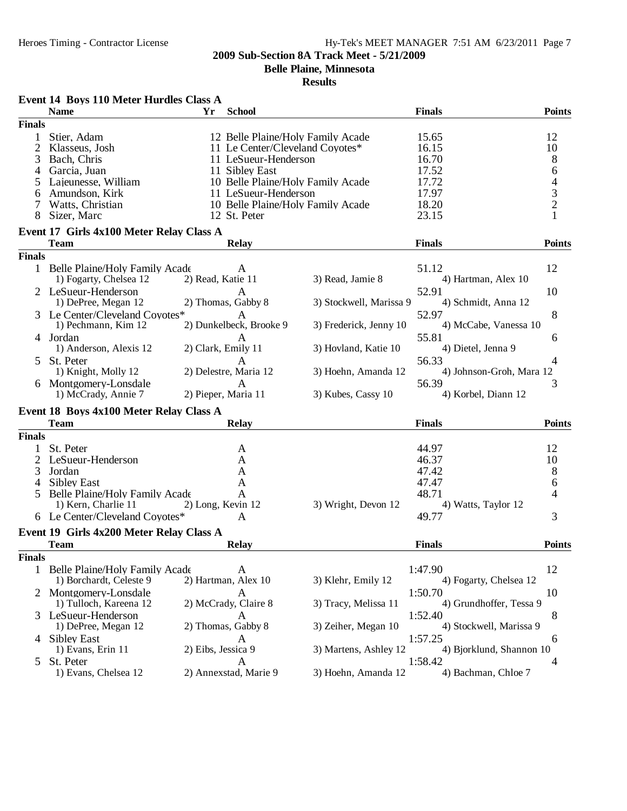**Belle Plaine, Minnesota**

| <b>School</b><br><b>Finals</b><br><b>Points</b><br><b>Name</b><br>Yr<br><b>Finals</b><br>Stier, Adam<br>12 Belle Plaine/Holy Family Acade<br>15.65<br>12<br>1<br>2<br>10<br>Klasseus, Josh<br>11 Le Center/Cleveland Coyotes*<br>16.15<br>8<br>Bach, Chris<br>11 LeSueur-Henderson<br>16.70<br>3<br>6<br>Garcia, Juan<br>11 Sibley East<br>17.52<br>4<br>4<br>Lajeunesse, William<br>10 Belle Plaine/Holy Family Acade<br>17.72<br>5<br>$\frac{3}{2}$<br>17.97<br>Amundson, Kirk<br>11 LeSueur-Henderson<br>6<br>Watts, Christian<br>18.20<br>10 Belle Plaine/Holy Family Acade<br>Sizer, Marc<br>23.15<br>8<br>12 St. Peter<br>Event 17 Girls 4x100 Meter Relay Class A<br><b>Team</b><br><b>Relay</b><br><b>Finals</b><br><b>Points</b><br><b>Finals</b><br>12<br>1 Belle Plaine/Holy Family Acade<br>51.12<br>A<br>1) Fogarty, Chelsea 12<br>3) Read, Jamie 8<br>2) Read, Katie 11<br>4) Hartman, Alex 10<br>2 LeSueur-Henderson<br>52.91<br>10<br>A<br>2) Thomas, Gabby 8<br>3) Stockwell, Marissa 9<br>4) Schmidt, Anna 12<br>1) DePree, Megan 12<br>8<br>52.97<br>3 Le Center/Cleveland Coyotes*<br>A<br>2) Dunkelbeck, Brooke 9<br>1) Pechmann, Kim 12<br>3) Frederick, Jenny 10<br>4) McCabe, Vanessa 10<br>4 Jordan<br>55.81<br>A<br>6<br>1) Anderson, Alexis 12<br>2) Clark, Emily 11<br>3) Hovland, Katie 10<br>4) Dietel, Jenna 9<br>St. Peter<br>56.33<br>А<br>4<br>5<br>2) Delestre, Maria 12<br>1) Knight, Molly 12<br>3) Hoehn, Amanda 12<br>4) Johnson-Groh, Mara 12<br>6 Montgomery-Lonsdale<br>56.39<br>3<br>A<br>1) McCrady, Annie 7<br>2) Pieper, Maria 11<br>3) Kubes, Cassy 10<br>4) Korbel, Diann 12<br>Event 18 Boys 4x100 Meter Relay Class A<br><b>Team</b><br><b>Relay</b><br><b>Finals</b><br><b>Points</b><br><b>Finals</b><br>St. Peter<br>44.97<br>12<br>1<br>A<br>2<br>LeSueur-Henderson<br>46.37<br>10<br>A<br>8<br>3<br>Jordan<br>47.42<br>A<br><b>Sibley East</b><br>47.47<br>6<br>4<br>A<br>48.71<br>Belle Plaine/Holy Family Acade<br>A<br>4<br>5<br>1) Kern, Charlie 11<br>3) Wright, Devon 12<br>2) Long, Kevin 12<br>4) Watts, Taylor 12<br>6 Le Center/Cleveland Coyotes*<br>3<br>A<br>49.77<br>Event 19 Girls 4x200 Meter Relay Class A<br><b>Team</b><br><b>Finals</b><br><b>Points</b><br><b>Relay</b><br><b>Finals</b><br>12<br>1 Belle Plaine/Holy Family Acade<br>1:47.90<br>A<br>2) Hartman, Alex 10<br>1) Borchardt, Celeste 9<br>3) Klehr, Emily 12<br>4) Fogarty, Chelsea 12<br>2 Montgomery-Lonsdale<br>10<br>1:50.70<br>A<br>2) McCrady, Claire 8<br>1) Tulloch, Kareena 12<br>3) Tracy, Melissa 11<br>4) Grundhoffer, Tessa 9<br>8<br>3 LeSueur-Henderson<br>1:52.40<br>A<br>1) DePree, Megan 12<br>2) Thomas, Gabby 8<br>3) Zeiher, Megan 10<br>4) Stockwell, Marissa 9<br>4 Sibley East<br>1:57.25<br>A<br>6<br>1) Evans, Erin 11<br>3) Martens, Ashley 12<br>2) Eibs, Jessica 9<br>4) Bjorklund, Shannon 10<br>St. Peter<br>1:58.42<br>4<br>5<br>A<br>1) Evans, Chelsea 12<br>2) Annexstad, Marie 9<br>3) Hoehn, Amanda 12<br>4) Bachman, Chloe 7 | Event 14 Boys 110 Meter Hurdles Class A |  |  |  |
|-------------------------------------------------------------------------------------------------------------------------------------------------------------------------------------------------------------------------------------------------------------------------------------------------------------------------------------------------------------------------------------------------------------------------------------------------------------------------------------------------------------------------------------------------------------------------------------------------------------------------------------------------------------------------------------------------------------------------------------------------------------------------------------------------------------------------------------------------------------------------------------------------------------------------------------------------------------------------------------------------------------------------------------------------------------------------------------------------------------------------------------------------------------------------------------------------------------------------------------------------------------------------------------------------------------------------------------------------------------------------------------------------------------------------------------------------------------------------------------------------------------------------------------------------------------------------------------------------------------------------------------------------------------------------------------------------------------------------------------------------------------------------------------------------------------------------------------------------------------------------------------------------------------------------------------------------------------------------------------------------------------------------------------------------------------------------------------------------------------------------------------------------------------------------------------------------------------------------------------------------------------------------------------------------------------------------------------------------------------------------------------------------------------------------------------------------------------------------------------------------------------------------------------------------------------------------------------------------------------------------------------------------------------------------------------------------------------------------------------------------------------------------------------------------------------------------------------------------------------------------------------------------------------------------------------------------------------------------------------------------------------|-----------------------------------------|--|--|--|
|                                                                                                                                                                                                                                                                                                                                                                                                                                                                                                                                                                                                                                                                                                                                                                                                                                                                                                                                                                                                                                                                                                                                                                                                                                                                                                                                                                                                                                                                                                                                                                                                                                                                                                                                                                                                                                                                                                                                                                                                                                                                                                                                                                                                                                                                                                                                                                                                                                                                                                                                                                                                                                                                                                                                                                                                                                                                                                                                                                                                             |                                         |  |  |  |
|                                                                                                                                                                                                                                                                                                                                                                                                                                                                                                                                                                                                                                                                                                                                                                                                                                                                                                                                                                                                                                                                                                                                                                                                                                                                                                                                                                                                                                                                                                                                                                                                                                                                                                                                                                                                                                                                                                                                                                                                                                                                                                                                                                                                                                                                                                                                                                                                                                                                                                                                                                                                                                                                                                                                                                                                                                                                                                                                                                                                             |                                         |  |  |  |
|                                                                                                                                                                                                                                                                                                                                                                                                                                                                                                                                                                                                                                                                                                                                                                                                                                                                                                                                                                                                                                                                                                                                                                                                                                                                                                                                                                                                                                                                                                                                                                                                                                                                                                                                                                                                                                                                                                                                                                                                                                                                                                                                                                                                                                                                                                                                                                                                                                                                                                                                                                                                                                                                                                                                                                                                                                                                                                                                                                                                             |                                         |  |  |  |
|                                                                                                                                                                                                                                                                                                                                                                                                                                                                                                                                                                                                                                                                                                                                                                                                                                                                                                                                                                                                                                                                                                                                                                                                                                                                                                                                                                                                                                                                                                                                                                                                                                                                                                                                                                                                                                                                                                                                                                                                                                                                                                                                                                                                                                                                                                                                                                                                                                                                                                                                                                                                                                                                                                                                                                                                                                                                                                                                                                                                             |                                         |  |  |  |
|                                                                                                                                                                                                                                                                                                                                                                                                                                                                                                                                                                                                                                                                                                                                                                                                                                                                                                                                                                                                                                                                                                                                                                                                                                                                                                                                                                                                                                                                                                                                                                                                                                                                                                                                                                                                                                                                                                                                                                                                                                                                                                                                                                                                                                                                                                                                                                                                                                                                                                                                                                                                                                                                                                                                                                                                                                                                                                                                                                                                             |                                         |  |  |  |
|                                                                                                                                                                                                                                                                                                                                                                                                                                                                                                                                                                                                                                                                                                                                                                                                                                                                                                                                                                                                                                                                                                                                                                                                                                                                                                                                                                                                                                                                                                                                                                                                                                                                                                                                                                                                                                                                                                                                                                                                                                                                                                                                                                                                                                                                                                                                                                                                                                                                                                                                                                                                                                                                                                                                                                                                                                                                                                                                                                                                             |                                         |  |  |  |
|                                                                                                                                                                                                                                                                                                                                                                                                                                                                                                                                                                                                                                                                                                                                                                                                                                                                                                                                                                                                                                                                                                                                                                                                                                                                                                                                                                                                                                                                                                                                                                                                                                                                                                                                                                                                                                                                                                                                                                                                                                                                                                                                                                                                                                                                                                                                                                                                                                                                                                                                                                                                                                                                                                                                                                                                                                                                                                                                                                                                             |                                         |  |  |  |
|                                                                                                                                                                                                                                                                                                                                                                                                                                                                                                                                                                                                                                                                                                                                                                                                                                                                                                                                                                                                                                                                                                                                                                                                                                                                                                                                                                                                                                                                                                                                                                                                                                                                                                                                                                                                                                                                                                                                                                                                                                                                                                                                                                                                                                                                                                                                                                                                                                                                                                                                                                                                                                                                                                                                                                                                                                                                                                                                                                                                             |                                         |  |  |  |
|                                                                                                                                                                                                                                                                                                                                                                                                                                                                                                                                                                                                                                                                                                                                                                                                                                                                                                                                                                                                                                                                                                                                                                                                                                                                                                                                                                                                                                                                                                                                                                                                                                                                                                                                                                                                                                                                                                                                                                                                                                                                                                                                                                                                                                                                                                                                                                                                                                                                                                                                                                                                                                                                                                                                                                                                                                                                                                                                                                                                             |                                         |  |  |  |
|                                                                                                                                                                                                                                                                                                                                                                                                                                                                                                                                                                                                                                                                                                                                                                                                                                                                                                                                                                                                                                                                                                                                                                                                                                                                                                                                                                                                                                                                                                                                                                                                                                                                                                                                                                                                                                                                                                                                                                                                                                                                                                                                                                                                                                                                                                                                                                                                                                                                                                                                                                                                                                                                                                                                                                                                                                                                                                                                                                                                             |                                         |  |  |  |
|                                                                                                                                                                                                                                                                                                                                                                                                                                                                                                                                                                                                                                                                                                                                                                                                                                                                                                                                                                                                                                                                                                                                                                                                                                                                                                                                                                                                                                                                                                                                                                                                                                                                                                                                                                                                                                                                                                                                                                                                                                                                                                                                                                                                                                                                                                                                                                                                                                                                                                                                                                                                                                                                                                                                                                                                                                                                                                                                                                                                             |                                         |  |  |  |
|                                                                                                                                                                                                                                                                                                                                                                                                                                                                                                                                                                                                                                                                                                                                                                                                                                                                                                                                                                                                                                                                                                                                                                                                                                                                                                                                                                                                                                                                                                                                                                                                                                                                                                                                                                                                                                                                                                                                                                                                                                                                                                                                                                                                                                                                                                                                                                                                                                                                                                                                                                                                                                                                                                                                                                                                                                                                                                                                                                                                             |                                         |  |  |  |
|                                                                                                                                                                                                                                                                                                                                                                                                                                                                                                                                                                                                                                                                                                                                                                                                                                                                                                                                                                                                                                                                                                                                                                                                                                                                                                                                                                                                                                                                                                                                                                                                                                                                                                                                                                                                                                                                                                                                                                                                                                                                                                                                                                                                                                                                                                                                                                                                                                                                                                                                                                                                                                                                                                                                                                                                                                                                                                                                                                                                             |                                         |  |  |  |
|                                                                                                                                                                                                                                                                                                                                                                                                                                                                                                                                                                                                                                                                                                                                                                                                                                                                                                                                                                                                                                                                                                                                                                                                                                                                                                                                                                                                                                                                                                                                                                                                                                                                                                                                                                                                                                                                                                                                                                                                                                                                                                                                                                                                                                                                                                                                                                                                                                                                                                                                                                                                                                                                                                                                                                                                                                                                                                                                                                                                             |                                         |  |  |  |
|                                                                                                                                                                                                                                                                                                                                                                                                                                                                                                                                                                                                                                                                                                                                                                                                                                                                                                                                                                                                                                                                                                                                                                                                                                                                                                                                                                                                                                                                                                                                                                                                                                                                                                                                                                                                                                                                                                                                                                                                                                                                                                                                                                                                                                                                                                                                                                                                                                                                                                                                                                                                                                                                                                                                                                                                                                                                                                                                                                                                             |                                         |  |  |  |
|                                                                                                                                                                                                                                                                                                                                                                                                                                                                                                                                                                                                                                                                                                                                                                                                                                                                                                                                                                                                                                                                                                                                                                                                                                                                                                                                                                                                                                                                                                                                                                                                                                                                                                                                                                                                                                                                                                                                                                                                                                                                                                                                                                                                                                                                                                                                                                                                                                                                                                                                                                                                                                                                                                                                                                                                                                                                                                                                                                                                             |                                         |  |  |  |
|                                                                                                                                                                                                                                                                                                                                                                                                                                                                                                                                                                                                                                                                                                                                                                                                                                                                                                                                                                                                                                                                                                                                                                                                                                                                                                                                                                                                                                                                                                                                                                                                                                                                                                                                                                                                                                                                                                                                                                                                                                                                                                                                                                                                                                                                                                                                                                                                                                                                                                                                                                                                                                                                                                                                                                                                                                                                                                                                                                                                             |                                         |  |  |  |
|                                                                                                                                                                                                                                                                                                                                                                                                                                                                                                                                                                                                                                                                                                                                                                                                                                                                                                                                                                                                                                                                                                                                                                                                                                                                                                                                                                                                                                                                                                                                                                                                                                                                                                                                                                                                                                                                                                                                                                                                                                                                                                                                                                                                                                                                                                                                                                                                                                                                                                                                                                                                                                                                                                                                                                                                                                                                                                                                                                                                             |                                         |  |  |  |
|                                                                                                                                                                                                                                                                                                                                                                                                                                                                                                                                                                                                                                                                                                                                                                                                                                                                                                                                                                                                                                                                                                                                                                                                                                                                                                                                                                                                                                                                                                                                                                                                                                                                                                                                                                                                                                                                                                                                                                                                                                                                                                                                                                                                                                                                                                                                                                                                                                                                                                                                                                                                                                                                                                                                                                                                                                                                                                                                                                                                             |                                         |  |  |  |
|                                                                                                                                                                                                                                                                                                                                                                                                                                                                                                                                                                                                                                                                                                                                                                                                                                                                                                                                                                                                                                                                                                                                                                                                                                                                                                                                                                                                                                                                                                                                                                                                                                                                                                                                                                                                                                                                                                                                                                                                                                                                                                                                                                                                                                                                                                                                                                                                                                                                                                                                                                                                                                                                                                                                                                                                                                                                                                                                                                                                             |                                         |  |  |  |
|                                                                                                                                                                                                                                                                                                                                                                                                                                                                                                                                                                                                                                                                                                                                                                                                                                                                                                                                                                                                                                                                                                                                                                                                                                                                                                                                                                                                                                                                                                                                                                                                                                                                                                                                                                                                                                                                                                                                                                                                                                                                                                                                                                                                                                                                                                                                                                                                                                                                                                                                                                                                                                                                                                                                                                                                                                                                                                                                                                                                             |                                         |  |  |  |
|                                                                                                                                                                                                                                                                                                                                                                                                                                                                                                                                                                                                                                                                                                                                                                                                                                                                                                                                                                                                                                                                                                                                                                                                                                                                                                                                                                                                                                                                                                                                                                                                                                                                                                                                                                                                                                                                                                                                                                                                                                                                                                                                                                                                                                                                                                                                                                                                                                                                                                                                                                                                                                                                                                                                                                                                                                                                                                                                                                                                             |                                         |  |  |  |
|                                                                                                                                                                                                                                                                                                                                                                                                                                                                                                                                                                                                                                                                                                                                                                                                                                                                                                                                                                                                                                                                                                                                                                                                                                                                                                                                                                                                                                                                                                                                                                                                                                                                                                                                                                                                                                                                                                                                                                                                                                                                                                                                                                                                                                                                                                                                                                                                                                                                                                                                                                                                                                                                                                                                                                                                                                                                                                                                                                                                             |                                         |  |  |  |
|                                                                                                                                                                                                                                                                                                                                                                                                                                                                                                                                                                                                                                                                                                                                                                                                                                                                                                                                                                                                                                                                                                                                                                                                                                                                                                                                                                                                                                                                                                                                                                                                                                                                                                                                                                                                                                                                                                                                                                                                                                                                                                                                                                                                                                                                                                                                                                                                                                                                                                                                                                                                                                                                                                                                                                                                                                                                                                                                                                                                             |                                         |  |  |  |
|                                                                                                                                                                                                                                                                                                                                                                                                                                                                                                                                                                                                                                                                                                                                                                                                                                                                                                                                                                                                                                                                                                                                                                                                                                                                                                                                                                                                                                                                                                                                                                                                                                                                                                                                                                                                                                                                                                                                                                                                                                                                                                                                                                                                                                                                                                                                                                                                                                                                                                                                                                                                                                                                                                                                                                                                                                                                                                                                                                                                             |                                         |  |  |  |
|                                                                                                                                                                                                                                                                                                                                                                                                                                                                                                                                                                                                                                                                                                                                                                                                                                                                                                                                                                                                                                                                                                                                                                                                                                                                                                                                                                                                                                                                                                                                                                                                                                                                                                                                                                                                                                                                                                                                                                                                                                                                                                                                                                                                                                                                                                                                                                                                                                                                                                                                                                                                                                                                                                                                                                                                                                                                                                                                                                                                             |                                         |  |  |  |
|                                                                                                                                                                                                                                                                                                                                                                                                                                                                                                                                                                                                                                                                                                                                                                                                                                                                                                                                                                                                                                                                                                                                                                                                                                                                                                                                                                                                                                                                                                                                                                                                                                                                                                                                                                                                                                                                                                                                                                                                                                                                                                                                                                                                                                                                                                                                                                                                                                                                                                                                                                                                                                                                                                                                                                                                                                                                                                                                                                                                             |                                         |  |  |  |
|                                                                                                                                                                                                                                                                                                                                                                                                                                                                                                                                                                                                                                                                                                                                                                                                                                                                                                                                                                                                                                                                                                                                                                                                                                                                                                                                                                                                                                                                                                                                                                                                                                                                                                                                                                                                                                                                                                                                                                                                                                                                                                                                                                                                                                                                                                                                                                                                                                                                                                                                                                                                                                                                                                                                                                                                                                                                                                                                                                                                             |                                         |  |  |  |
|                                                                                                                                                                                                                                                                                                                                                                                                                                                                                                                                                                                                                                                                                                                                                                                                                                                                                                                                                                                                                                                                                                                                                                                                                                                                                                                                                                                                                                                                                                                                                                                                                                                                                                                                                                                                                                                                                                                                                                                                                                                                                                                                                                                                                                                                                                                                                                                                                                                                                                                                                                                                                                                                                                                                                                                                                                                                                                                                                                                                             |                                         |  |  |  |
|                                                                                                                                                                                                                                                                                                                                                                                                                                                                                                                                                                                                                                                                                                                                                                                                                                                                                                                                                                                                                                                                                                                                                                                                                                                                                                                                                                                                                                                                                                                                                                                                                                                                                                                                                                                                                                                                                                                                                                                                                                                                                                                                                                                                                                                                                                                                                                                                                                                                                                                                                                                                                                                                                                                                                                                                                                                                                                                                                                                                             |                                         |  |  |  |
|                                                                                                                                                                                                                                                                                                                                                                                                                                                                                                                                                                                                                                                                                                                                                                                                                                                                                                                                                                                                                                                                                                                                                                                                                                                                                                                                                                                                                                                                                                                                                                                                                                                                                                                                                                                                                                                                                                                                                                                                                                                                                                                                                                                                                                                                                                                                                                                                                                                                                                                                                                                                                                                                                                                                                                                                                                                                                                                                                                                                             |                                         |  |  |  |
|                                                                                                                                                                                                                                                                                                                                                                                                                                                                                                                                                                                                                                                                                                                                                                                                                                                                                                                                                                                                                                                                                                                                                                                                                                                                                                                                                                                                                                                                                                                                                                                                                                                                                                                                                                                                                                                                                                                                                                                                                                                                                                                                                                                                                                                                                                                                                                                                                                                                                                                                                                                                                                                                                                                                                                                                                                                                                                                                                                                                             |                                         |  |  |  |
|                                                                                                                                                                                                                                                                                                                                                                                                                                                                                                                                                                                                                                                                                                                                                                                                                                                                                                                                                                                                                                                                                                                                                                                                                                                                                                                                                                                                                                                                                                                                                                                                                                                                                                                                                                                                                                                                                                                                                                                                                                                                                                                                                                                                                                                                                                                                                                                                                                                                                                                                                                                                                                                                                                                                                                                                                                                                                                                                                                                                             |                                         |  |  |  |
|                                                                                                                                                                                                                                                                                                                                                                                                                                                                                                                                                                                                                                                                                                                                                                                                                                                                                                                                                                                                                                                                                                                                                                                                                                                                                                                                                                                                                                                                                                                                                                                                                                                                                                                                                                                                                                                                                                                                                                                                                                                                                                                                                                                                                                                                                                                                                                                                                                                                                                                                                                                                                                                                                                                                                                                                                                                                                                                                                                                                             |                                         |  |  |  |
|                                                                                                                                                                                                                                                                                                                                                                                                                                                                                                                                                                                                                                                                                                                                                                                                                                                                                                                                                                                                                                                                                                                                                                                                                                                                                                                                                                                                                                                                                                                                                                                                                                                                                                                                                                                                                                                                                                                                                                                                                                                                                                                                                                                                                                                                                                                                                                                                                                                                                                                                                                                                                                                                                                                                                                                                                                                                                                                                                                                                             |                                         |  |  |  |
|                                                                                                                                                                                                                                                                                                                                                                                                                                                                                                                                                                                                                                                                                                                                                                                                                                                                                                                                                                                                                                                                                                                                                                                                                                                                                                                                                                                                                                                                                                                                                                                                                                                                                                                                                                                                                                                                                                                                                                                                                                                                                                                                                                                                                                                                                                                                                                                                                                                                                                                                                                                                                                                                                                                                                                                                                                                                                                                                                                                                             |                                         |  |  |  |
|                                                                                                                                                                                                                                                                                                                                                                                                                                                                                                                                                                                                                                                                                                                                                                                                                                                                                                                                                                                                                                                                                                                                                                                                                                                                                                                                                                                                                                                                                                                                                                                                                                                                                                                                                                                                                                                                                                                                                                                                                                                                                                                                                                                                                                                                                                                                                                                                                                                                                                                                                                                                                                                                                                                                                                                                                                                                                                                                                                                                             |                                         |  |  |  |
|                                                                                                                                                                                                                                                                                                                                                                                                                                                                                                                                                                                                                                                                                                                                                                                                                                                                                                                                                                                                                                                                                                                                                                                                                                                                                                                                                                                                                                                                                                                                                                                                                                                                                                                                                                                                                                                                                                                                                                                                                                                                                                                                                                                                                                                                                                                                                                                                                                                                                                                                                                                                                                                                                                                                                                                                                                                                                                                                                                                                             |                                         |  |  |  |
|                                                                                                                                                                                                                                                                                                                                                                                                                                                                                                                                                                                                                                                                                                                                                                                                                                                                                                                                                                                                                                                                                                                                                                                                                                                                                                                                                                                                                                                                                                                                                                                                                                                                                                                                                                                                                                                                                                                                                                                                                                                                                                                                                                                                                                                                                                                                                                                                                                                                                                                                                                                                                                                                                                                                                                                                                                                                                                                                                                                                             |                                         |  |  |  |
|                                                                                                                                                                                                                                                                                                                                                                                                                                                                                                                                                                                                                                                                                                                                                                                                                                                                                                                                                                                                                                                                                                                                                                                                                                                                                                                                                                                                                                                                                                                                                                                                                                                                                                                                                                                                                                                                                                                                                                                                                                                                                                                                                                                                                                                                                                                                                                                                                                                                                                                                                                                                                                                                                                                                                                                                                                                                                                                                                                                                             |                                         |  |  |  |
|                                                                                                                                                                                                                                                                                                                                                                                                                                                                                                                                                                                                                                                                                                                                                                                                                                                                                                                                                                                                                                                                                                                                                                                                                                                                                                                                                                                                                                                                                                                                                                                                                                                                                                                                                                                                                                                                                                                                                                                                                                                                                                                                                                                                                                                                                                                                                                                                                                                                                                                                                                                                                                                                                                                                                                                                                                                                                                                                                                                                             |                                         |  |  |  |
|                                                                                                                                                                                                                                                                                                                                                                                                                                                                                                                                                                                                                                                                                                                                                                                                                                                                                                                                                                                                                                                                                                                                                                                                                                                                                                                                                                                                                                                                                                                                                                                                                                                                                                                                                                                                                                                                                                                                                                                                                                                                                                                                                                                                                                                                                                                                                                                                                                                                                                                                                                                                                                                                                                                                                                                                                                                                                                                                                                                                             |                                         |  |  |  |
|                                                                                                                                                                                                                                                                                                                                                                                                                                                                                                                                                                                                                                                                                                                                                                                                                                                                                                                                                                                                                                                                                                                                                                                                                                                                                                                                                                                                                                                                                                                                                                                                                                                                                                                                                                                                                                                                                                                                                                                                                                                                                                                                                                                                                                                                                                                                                                                                                                                                                                                                                                                                                                                                                                                                                                                                                                                                                                                                                                                                             |                                         |  |  |  |
|                                                                                                                                                                                                                                                                                                                                                                                                                                                                                                                                                                                                                                                                                                                                                                                                                                                                                                                                                                                                                                                                                                                                                                                                                                                                                                                                                                                                                                                                                                                                                                                                                                                                                                                                                                                                                                                                                                                                                                                                                                                                                                                                                                                                                                                                                                                                                                                                                                                                                                                                                                                                                                                                                                                                                                                                                                                                                                                                                                                                             |                                         |  |  |  |
|                                                                                                                                                                                                                                                                                                                                                                                                                                                                                                                                                                                                                                                                                                                                                                                                                                                                                                                                                                                                                                                                                                                                                                                                                                                                                                                                                                                                                                                                                                                                                                                                                                                                                                                                                                                                                                                                                                                                                                                                                                                                                                                                                                                                                                                                                                                                                                                                                                                                                                                                                                                                                                                                                                                                                                                                                                                                                                                                                                                                             |                                         |  |  |  |
|                                                                                                                                                                                                                                                                                                                                                                                                                                                                                                                                                                                                                                                                                                                                                                                                                                                                                                                                                                                                                                                                                                                                                                                                                                                                                                                                                                                                                                                                                                                                                                                                                                                                                                                                                                                                                                                                                                                                                                                                                                                                                                                                                                                                                                                                                                                                                                                                                                                                                                                                                                                                                                                                                                                                                                                                                                                                                                                                                                                                             |                                         |  |  |  |
|                                                                                                                                                                                                                                                                                                                                                                                                                                                                                                                                                                                                                                                                                                                                                                                                                                                                                                                                                                                                                                                                                                                                                                                                                                                                                                                                                                                                                                                                                                                                                                                                                                                                                                                                                                                                                                                                                                                                                                                                                                                                                                                                                                                                                                                                                                                                                                                                                                                                                                                                                                                                                                                                                                                                                                                                                                                                                                                                                                                                             |                                         |  |  |  |
|                                                                                                                                                                                                                                                                                                                                                                                                                                                                                                                                                                                                                                                                                                                                                                                                                                                                                                                                                                                                                                                                                                                                                                                                                                                                                                                                                                                                                                                                                                                                                                                                                                                                                                                                                                                                                                                                                                                                                                                                                                                                                                                                                                                                                                                                                                                                                                                                                                                                                                                                                                                                                                                                                                                                                                                                                                                                                                                                                                                                             |                                         |  |  |  |
|                                                                                                                                                                                                                                                                                                                                                                                                                                                                                                                                                                                                                                                                                                                                                                                                                                                                                                                                                                                                                                                                                                                                                                                                                                                                                                                                                                                                                                                                                                                                                                                                                                                                                                                                                                                                                                                                                                                                                                                                                                                                                                                                                                                                                                                                                                                                                                                                                                                                                                                                                                                                                                                                                                                                                                                                                                                                                                                                                                                                             |                                         |  |  |  |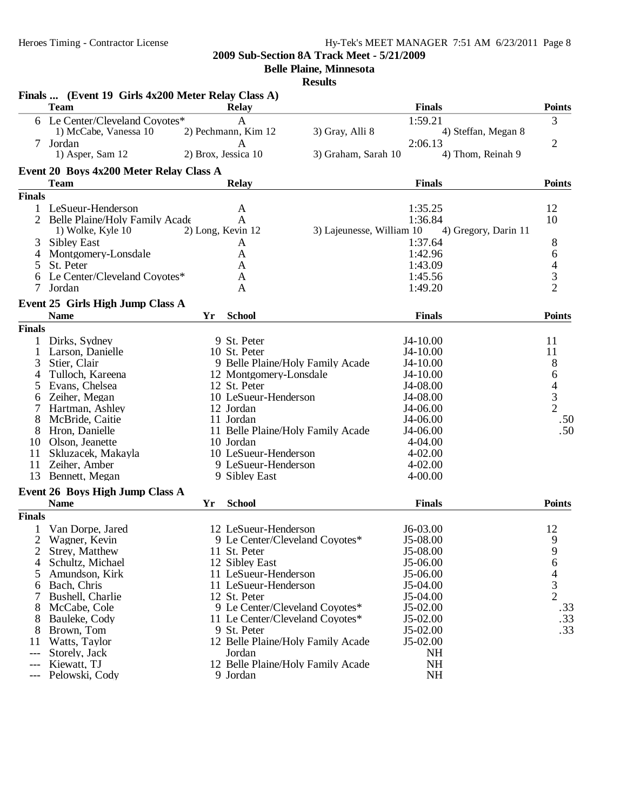# Heroes Timing - Contractor License Hy-Tek's MEET MANAGER 7:51 AM 6/23/2011 Page 8

**2009 Sub-Section 8A Track Meet - 5/21/2009**

**Belle Plaine, Minnesota**

|               | Finals  (Event 19 Girls 4x200 Meter Relay Class A) |    |                                   |                           |               |                      |                                            |
|---------------|----------------------------------------------------|----|-----------------------------------|---------------------------|---------------|----------------------|--------------------------------------------|
|               | <b>Team</b>                                        |    | <b>Relay</b>                      |                           | <b>Finals</b> |                      | <b>Points</b>                              |
|               | 6 Le Center/Cleveland Coyotes*                     |    | $\mathbf{A}$                      |                           | 1:59.21       |                      | 3                                          |
|               | 1) McCabe, Vanessa 10                              |    | 2) Pechmann, Kim 12               | 3) Gray, Alli 8           |               | 4) Steffan, Megan 8  |                                            |
|               | 7 Jordan                                           |    | A                                 |                           | 2:06.13       |                      | $\overline{c}$                             |
|               | 1) Asper, Sam 12                                   |    | 2) Brox, Jessica 10               | 3) Graham, Sarah 10       |               | 4) Thom, Reinah 9    |                                            |
|               | Event 20 Boys 4x200 Meter Relay Class A            |    |                                   |                           |               |                      |                                            |
|               | <b>Team</b>                                        |    | <b>Relay</b>                      |                           | <b>Finals</b> |                      | <b>Points</b>                              |
| <b>Finals</b> |                                                    |    |                                   |                           |               |                      |                                            |
|               | 1 LeSueur-Henderson                                |    | A                                 |                           | 1:35.25       |                      | 12                                         |
| 2             | Belle Plaine/Holy Family Acade                     |    | $\mathbf{A}$                      |                           | 1:36.84       |                      | 10                                         |
|               | 1) Wolke, Kyle 10                                  |    | 2) Long, Kevin 12                 | 3) Lajeunesse, William 10 |               | 4) Gregory, Darin 11 |                                            |
|               | <b>Sibley East</b>                                 |    | A                                 |                           | 1:37.64       |                      | 8                                          |
| 4             | Montgomery-Lonsdale                                |    | A                                 |                           | 1:42.96       |                      | 6                                          |
| 5             | St. Peter                                          |    | A                                 |                           | 1:43.09       |                      | $rac{4}{3}$                                |
| 6             | Le Center/Cleveland Coyotes*                       |    | A                                 |                           | 1:45.56       |                      |                                            |
| 7             | Jordan                                             |    | A                                 |                           | 1:49.20       |                      | $\overline{2}$                             |
|               | Event 25 Girls High Jump Class A                   |    |                                   |                           |               |                      |                                            |
|               | <b>Name</b>                                        | Yr | <b>School</b>                     |                           | <b>Finals</b> |                      | <b>Points</b>                              |
| <b>Finals</b> |                                                    |    |                                   |                           |               |                      |                                            |
| 1             | Dirks, Sydney                                      |    | 9 St. Peter                       |                           | J4-10.00      |                      | 11                                         |
| 1             | Larson, Danielle                                   |    | 10 St. Peter                      |                           | J4-10.00      |                      | 11                                         |
| 3             | Stier, Clair                                       |    | 9 Belle Plaine/Holy Family Acade  |                           | J4-10.00      |                      | 8                                          |
| 4             | Tulloch, Kareena                                   |    | 12 Montgomery-Lonsdale            |                           | J4-10.00      |                      | 6                                          |
| 5             | Evans, Chelsea                                     |    | 12 St. Peter                      |                           | J4-08.00      |                      |                                            |
| 6             | Zeiher, Megan                                      |    | 10 LeSueur-Henderson              |                           | J4-08.00      |                      | $\begin{array}{c} 4 \\ 3 \\ 2 \end{array}$ |
|               | Hartman, Ashley                                    |    | 12 Jordan                         |                           | J4-06.00      |                      |                                            |
| 8             | McBride, Caitie                                    |    | 11 Jordan                         |                           | J4-06.00      |                      | .50                                        |
| 8             | Hron, Danielle                                     |    | 11 Belle Plaine/Holy Family Acade |                           | J4-06.00      |                      | .50                                        |
|               | 10 Olson, Jeanette                                 |    | 10 Jordan                         |                           | 4-04.00       |                      |                                            |
| 11            | Skluzacek, Makayla                                 |    | 10 LeSueur-Henderson              |                           | $4 - 02.00$   |                      |                                            |
| 11            | Zeiher, Amber                                      |    | 9 LeSueur-Henderson               |                           | $4 - 02.00$   |                      |                                            |
| 13            | Bennett, Megan                                     |    | 9 Sibley East                     |                           | $4 - 00.00$   |                      |                                            |
|               | Event 26 Boys High Jump Class A                    |    |                                   |                           |               |                      |                                            |
|               | <b>Name</b>                                        | Yr | <b>School</b>                     |                           | <b>Finals</b> |                      | <b>Points</b>                              |
| <b>Finals</b> |                                                    |    |                                   |                           |               |                      |                                            |
|               |                                                    |    | 12 LeSueur-Henderson              |                           | $J6-03.00$    |                      |                                            |
| 2             | Van Dorpe, Jared<br>Wagner, Kevin                  |    | 9 Le Center/Cleveland Coyotes*    |                           | J5-08.00      |                      | 12<br>9                                    |
| 2             | Strey, Matthew                                     |    | 11 St. Peter                      |                           | J5-08.00      |                      | 9                                          |
| 4             | Schultz, Michael                                   |    | 12 Sibley East                    |                           | J5-06.00      |                      | 6                                          |
|               | Amundson, Kirk                                     |    | 11 LeSueur-Henderson              |                           | J5-06.00      |                      | $\overline{4}$                             |
| 5<br>6        | Bach, Chris                                        |    | 11 LeSueur-Henderson              |                           | J5-04.00      |                      | 3                                          |
| 7             | Bushell, Charlie                                   |    | 12 St. Peter                      |                           | J5-04.00      |                      | $\overline{2}$                             |
| 8             | McCabe, Cole                                       |    | 9 Le Center/Cleveland Coyotes*    |                           | J5-02.00      |                      | .33                                        |
| 8             | Bauleke, Cody                                      |    | 11 Le Center/Cleveland Coyotes*   |                           | J5-02.00      |                      | .33                                        |
| 8             | Brown, Tom                                         |    | 9 St. Peter                       |                           | $J5-02.00$    |                      | .33                                        |
| 11            | Watts, Taylor                                      |    | 12 Belle Plaine/Holy Family Acade |                           | J5-02.00      |                      |                                            |
| ---           | Storely, Jack                                      |    | Jordan                            |                           | <b>NH</b>     |                      |                                            |
|               | Kiewatt, TJ                                        |    | 12 Belle Plaine/Holy Family Acade |                           | <b>NH</b>     |                      |                                            |
|               | Pelowski, Cody                                     |    | 9 Jordan                          |                           | NH            |                      |                                            |
|               |                                                    |    |                                   |                           |               |                      |                                            |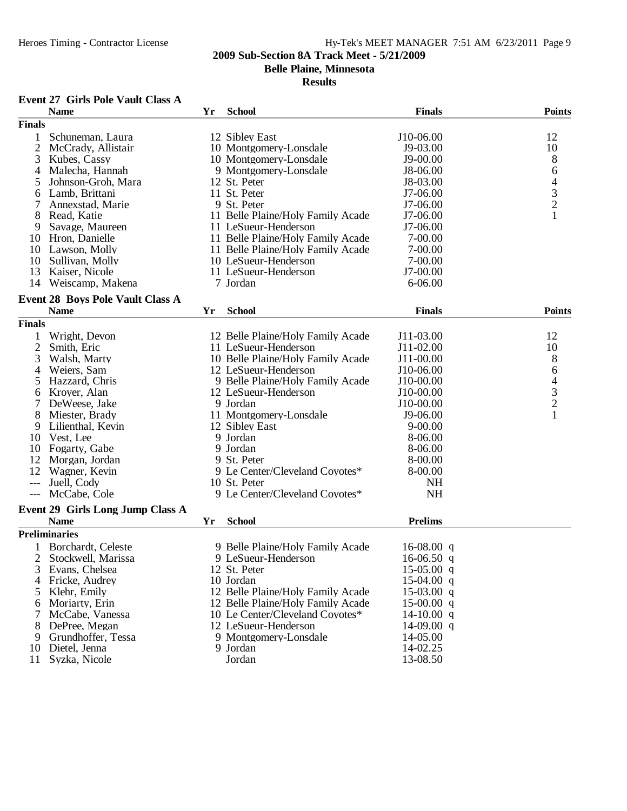**Belle Plaine, Minnesota**

#### **Results**

# **Event 27 Girls Pole Vault Class A**

|                | <b>Name</b>                             | Yr | <b>School</b>                     | <b>Finals</b>  | <b>Points</b>                              |
|----------------|-----------------------------------------|----|-----------------------------------|----------------|--------------------------------------------|
| <b>Finals</b>  |                                         |    |                                   |                |                                            |
| 1              | Schuneman, Laura                        |    | 12 Sibley East                    | J10-06.00      | 12                                         |
| $\overline{2}$ | McCrady, Allistair                      |    | 10 Montgomery-Lonsdale            | J9-03.00       | 10                                         |
| 3              | Kubes, Cassy                            |    | 10 Montgomery-Lonsdale            | J9-00.00       | 8                                          |
| 4              | Malecha, Hannah                         |    | 9 Montgomery-Lonsdale             | J8-06.00       | 6                                          |
| 5              | Johnson-Groh, Mara                      |    | 12 St. Peter                      | J8-03.00       |                                            |
| 6              | Lamb, Brittani                          |    | 11 St. Peter                      | J7-06.00       |                                            |
| 7              | Annexstad, Marie                        |    | 9 St. Peter                       | J7-06.00       | $\begin{array}{c} 4 \\ 3 \\ 2 \end{array}$ |
| 8              | Read, Katie                             |    | 11 Belle Plaine/Holy Family Acade | J7-06.00       | $\mathbf{1}$                               |
| 9              | Savage, Maureen                         |    | 11 LeSueur-Henderson              | J7-06.00       |                                            |
| 10             | Hron, Danielle                          |    | 11 Belle Plaine/Holy Family Acade | 7-00.00        |                                            |
| 10             | Lawson, Molly                           |    | 11 Belle Plaine/Holy Family Acade | 7-00.00        |                                            |
| 10             | Sullivan, Molly                         |    | 10 LeSueur-Henderson              | 7-00.00        |                                            |
| 13             | Kaiser, Nicole                          |    | 11 LeSueur-Henderson              | J7-00.00       |                                            |
| 14             | Weiscamp, Makena                        |    | 7 Jordan                          | 6-06.00        |                                            |
|                |                                         |    |                                   |                |                                            |
|                | <b>Event 28 Boys Pole Vault Class A</b> |    |                                   |                |                                            |
|                | <b>Name</b>                             | Yr | <b>School</b>                     | <b>Finals</b>  | <b>Points</b>                              |
| <b>Finals</b>  |                                         |    |                                   |                |                                            |
| 1              | Wright, Devon                           |    | 12 Belle Plaine/Holy Family Acade | J11-03.00      | 12                                         |
| $\overline{2}$ | Smith, Eric                             |    | 11 LeSueur-Henderson              | J11-02.00      | 10                                         |
| 3              | Walsh, Marty                            |    | 10 Belle Plaine/Holy Family Acade | J11-00.00      | 8                                          |
| 4              | Weiers, Sam                             |    | 12 LeSueur-Henderson              | J10-06.00      | 6                                          |
| 5              | Hazzard, Chris                          |    | 9 Belle Plaine/Holy Family Acade  | J10-00.00      |                                            |
| 6              | Kroyer, Alan                            |    | 12 LeSueur-Henderson              | J10-00.00      | $\begin{array}{c} 4 \\ 3 \\ 2 \end{array}$ |
| 7              | DeWeese, Jake                           |    | 9 Jordan                          | J10-00.00      |                                            |
| 8              | Miester, Brady                          |    | 11 Montgomery-Lonsdale            | J9-06.00       | $\mathbf{1}$                               |
| 9              | Lilienthal, Kevin                       |    | 12 Sibley East                    | $9 - 00.00$    |                                            |
| 10             | Vest, Lee                               |    | 9 Jordan                          | 8-06.00        |                                            |
| 10             | Fogarty, Gabe                           |    | 9 Jordan                          | 8-06.00        |                                            |
| 12             | Morgan, Jordan                          |    | 9 St. Peter                       | 8-00.00        |                                            |
| 12             | Wagner, Kevin                           |    | 9 Le Center/Cleveland Coyotes*    | 8-00.00        |                                            |
| $---$          | Juell, Cody                             |    | 10 St. Peter                      | <b>NH</b>      |                                            |
| ---            | McCabe, Cole                            |    | 9 Le Center/Cleveland Coyotes*    | <b>NH</b>      |                                            |
|                | Event 29 Girls Long Jump Class A        |    |                                   |                |                                            |
|                | <b>Name</b>                             | Yr | <b>School</b>                     | <b>Prelims</b> |                                            |
|                | <b>Preliminaries</b>                    |    |                                   |                |                                            |
| 1              | Borchardt, Celeste                      |    | 9 Belle Plaine/Holy Family Acade  | 16-08.00 $q$   |                                            |
| $\overline{2}$ | Stockwell, Marissa                      |    | 9 LeSueur-Henderson               | $16-06.50$ q   |                                            |
| 3              | Evans, Chelsea                          |    | 12 St. Peter                      | $15-05.00$ q   |                                            |
| 4              | Fricke, Audrey                          |    | 10 Jordan                         | $15-04.00$ q   |                                            |
| 5              | Klehr, Emily                            |    | 12 Belle Plaine/Holy Family Acade | $15-03.00$ q   |                                            |
|                | Moriarty, Erin                          |    | 12 Belle Plaine/Holy Family Acade | $15-00.00$ q   |                                            |
| 6<br>7         | McCabe, Vanessa                         |    | 10 Le Center/Cleveland Coyotes*   | 14-10.00 $q$   |                                            |
|                | DePree, Megan                           |    | 12 LeSueur-Henderson              | $14-09.00$ q   |                                            |
| 8<br>9         | Grundhoffer, Tessa                      |    | 9 Montgomery-Lonsdale             | 14-05.00       |                                            |
| 10             | Dietel, Jenna                           |    | 9 Jordan                          | 14-02.25       |                                            |
| 11             | Syzka, Nicole                           |    | Jordan                            | 13-08.50       |                                            |
|                |                                         |    |                                   |                |                                            |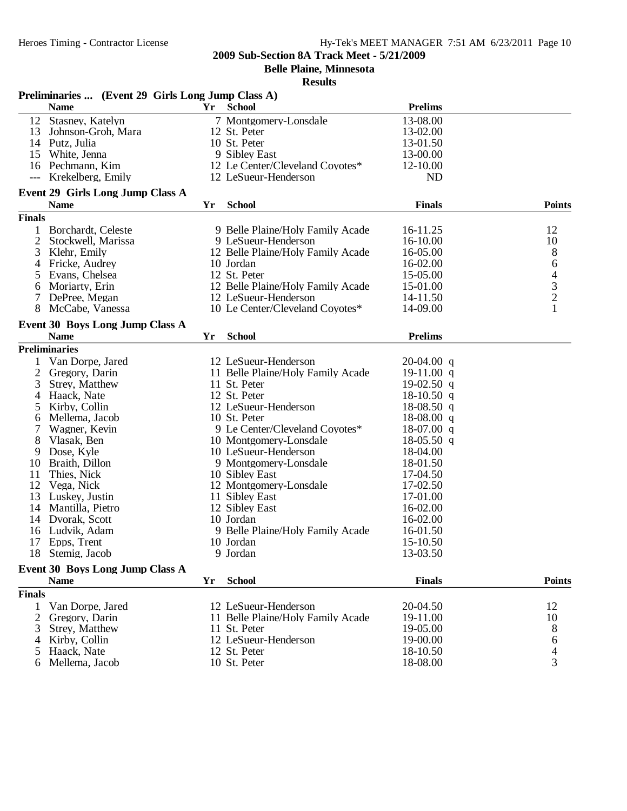**Belle Plaine, Minnesota**

|                | Preliminaries  (Event 29 Girls Long Jump Class A) |    |                                   |                |                                                 |
|----------------|---------------------------------------------------|----|-----------------------------------|----------------|-------------------------------------------------|
|                | <b>Name</b>                                       | Yr | <b>School</b>                     | <b>Prelims</b> |                                                 |
| 12             | Stasney, Katelyn                                  |    | 7 Montgomery-Lonsdale             | 13-08.00       |                                                 |
| 13             | Johnson-Groh, Mara                                |    | 12 St. Peter                      | 13-02.00       |                                                 |
|                | 14 Putz, Julia                                    |    | 10 St. Peter                      | 13-01.50       |                                                 |
| 15             | White, Jenna                                      |    | 9 Sibley East                     | 13-00.00       |                                                 |
|                | 16 Pechmann, Kim                                  |    | 12 Le Center/Cleveland Coyotes*   | 12-10.00       |                                                 |
| $---$          | Krekelberg, Emily                                 |    | 12 LeSueur-Henderson              | <b>ND</b>      |                                                 |
|                | Event 29 Girls Long Jump Class A                  |    |                                   |                |                                                 |
|                | <b>Name</b>                                       | Yr | <b>School</b>                     | <b>Finals</b>  | <b>Points</b>                                   |
| <b>Finals</b>  |                                                   |    |                                   |                |                                                 |
|                | 1 Borchardt, Celeste                              |    | 9 Belle Plaine/Holy Family Acade  | 16-11.25       | 12                                              |
| $\overline{c}$ | Stockwell, Marissa                                |    | 9 LeSueur-Henderson               | 16-10.00       | 10                                              |
| 3              | Klehr, Emily                                      |    | 12 Belle Plaine/Holy Family Acade | 16-05.00       | $\boldsymbol{8}$                                |
| 4              | Fricke, Audrey                                    |    | 10 Jordan                         | 16-02.00       | 6                                               |
| 5              | Evans, Chelsea                                    |    | 12 St. Peter                      | 15-05.00       |                                                 |
| 6              | Moriarty, Erin                                    |    | 12 Belle Plaine/Holy Family Acade | 15-01.00       | $\begin{array}{c} 4 \\ 3 \\ 2 \\ 1 \end{array}$ |
|                | DePree, Megan                                     |    | 12 LeSueur-Henderson              | 14-11.50       |                                                 |
| 8              | McCabe, Vanessa                                   |    | 10 Le Center/Cleveland Coyotes*   | 14-09.00       |                                                 |
|                | <b>Event 30 Boys Long Jump Class A</b>            |    |                                   |                |                                                 |
|                | <b>Name</b>                                       | Yr | <b>School</b>                     | <b>Prelims</b> |                                                 |
|                | <b>Preliminaries</b>                              |    |                                   |                |                                                 |
| 1              | Van Dorpe, Jared                                  |    | 12 LeSueur-Henderson              | $20-04.00$ q   |                                                 |
| $\overline{2}$ | Gregory, Darin                                    |    | 11 Belle Plaine/Holy Family Acade | 19-11.00 $q$   |                                                 |
| 3              | Strey, Matthew                                    |    | 11 St. Peter                      | $19-02.50$ q   |                                                 |
| 4              | Haack, Nate                                       |    | 12 St. Peter                      | $18-10.50$ q   |                                                 |
| 5              | Kirby, Collin                                     |    | 12 LeSueur-Henderson              | $18-08.50$ q   |                                                 |
| 6              | Mellema, Jacob                                    |    | 10 St. Peter                      | $18-08.00$ q   |                                                 |
| 7              | Wagner, Kevin                                     |    | 9 Le Center/Cleveland Coyotes*    | $18-07.00$ q   |                                                 |
| 8              | Vlasak, Ben                                       |    | 10 Montgomery-Lonsdale            | 18-05.50 q     |                                                 |
| 9              | Dose, Kyle                                        |    | 10 LeSueur-Henderson              | 18-04.00       |                                                 |
| 10             | Braith, Dillon                                    |    | 9 Montgomery-Lonsdale             | 18-01.50       |                                                 |
| 11             | Thies, Nick                                       |    | 10 Sibley East                    | 17-04.50       |                                                 |
| 12             | Vega, Nick                                        |    | 12 Montgomery-Lonsdale            | 17-02.50       |                                                 |
| 13             | Luskey, Justin                                    |    | 11 Sibley East                    | 17-01.00       |                                                 |
|                | 14 Mantilla, Pietro                               |    | 12 Sibley East                    | 16-02.00       |                                                 |
| 14             | Dvorak, Scott                                     |    | 10 Jordan                         | 16-02.00       |                                                 |
| 16             | Ludvik, Adam                                      |    | 9 Belle Plaine/Holy Family Acade  | 16-01.50       |                                                 |
| 17             | Epps, Trent                                       |    | 10 Jordan                         | 15-10.50       |                                                 |
|                | 18 Stemig, Jacob                                  |    | 9 Jordan                          | 13-03.50       |                                                 |
|                | Event 30 Boys Long Jump Class A                   |    |                                   |                |                                                 |
|                | <b>Name</b>                                       | Yr | <b>School</b>                     | <b>Finals</b>  | <b>Points</b>                                   |
| <b>Finals</b>  |                                                   |    |                                   |                |                                                 |
| 1              | Van Dorpe, Jared                                  |    | 12 LeSueur-Henderson              | 20-04.50       | 12                                              |
| 2              | Gregory, Darin                                    |    | 11 Belle Plaine/Holy Family Acade | 19-11.00       | 10                                              |
| 3              | Strey, Matthew                                    |    | 11 St. Peter                      | 19-05.00       | 8                                               |
| 4              | Kirby, Collin                                     |    | 12 LeSueur-Henderson              | 19-00.00       | 6                                               |
| 5              | Haack, Nate                                       |    | 12 St. Peter                      | 18-10.50       | $\overline{4}$                                  |
| 6              | Mellema, Jacob                                    |    | 10 St. Peter                      | 18-08.00       | 3                                               |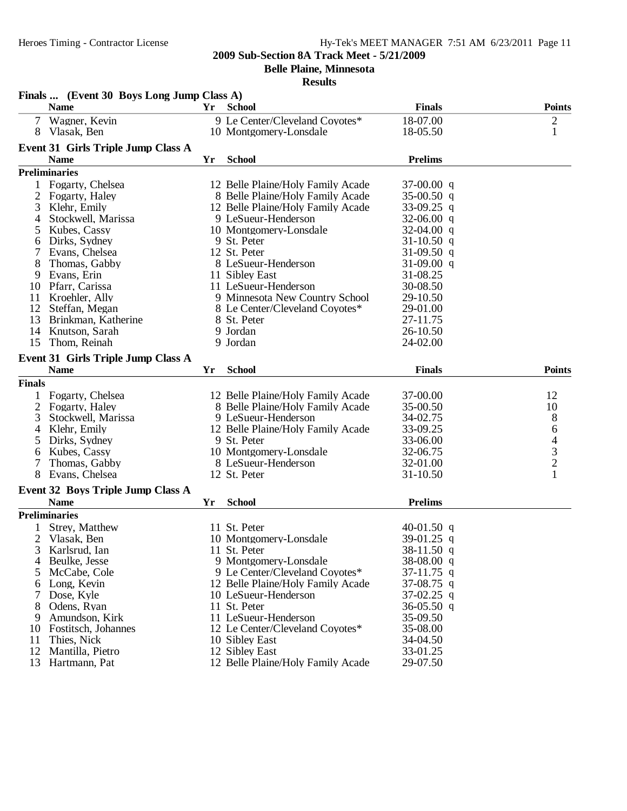**Belle Plaine, Minnesota**

|               | Finals  (Event 30 Boys Long Jump Class A) |    |                                                         |                              |               |
|---------------|-------------------------------------------|----|---------------------------------------------------------|------------------------------|---------------|
|               | <b>Name</b>                               | Yr | School                                                  | <b>Finals</b>                | <b>Points</b> |
| 7             | Wagner, Kevin                             |    | 9 Le Center/Cleveland Coyotes*                          | 18-07.00                     |               |
|               | 8 Vlasak, Ben                             |    | 10 Montgomery-Lonsdale                                  | 18-05.50                     | $\frac{2}{1}$ |
|               | Event 31 Girls Triple Jump Class A        |    |                                                         |                              |               |
|               | <b>Name</b>                               | Yr | <b>School</b>                                           | <b>Prelims</b>               |               |
|               |                                           |    |                                                         |                              |               |
|               | <b>Preliminaries</b>                      |    |                                                         |                              |               |
| 1             | Fogarty, Chelsea                          |    | 12 Belle Plaine/Holy Family Acade                       | $37-00.00$ q                 |               |
| 2             | Fogarty, Haley                            |    | 8 Belle Plaine/Holy Family Acade                        | 35-00.50 q                   |               |
| 3             | Klehr, Emily                              |    | 12 Belle Plaine/Holy Family Acade                       | 33-09.25 q                   |               |
| 4             | Stockwell, Marissa                        |    | 9 LeSueur-Henderson                                     | 32-06.00 q                   |               |
| 5             | Kubes, Cassy                              |    | 10 Montgomery-Lonsdale                                  | 32-04.00 q                   |               |
| 6             | Dirks, Sydney                             |    | 9 St. Peter<br>12 St. Peter                             | 31-10.50 q                   |               |
| 7             | Evans, Chelsea                            |    |                                                         | 31-09.50 q                   |               |
| 8             | Thomas, Gabby                             |    | 8 LeSueur-Henderson                                     | $31-09.00$ q                 |               |
| 9             | Evans, Erin                               |    | 11 Sibley East                                          | 31-08.25                     |               |
| 10            | Pfarr, Carissa                            |    | 11 LeSueur-Henderson                                    | 30-08.50                     |               |
| 11<br>12      | Kroehler, Ally                            |    | 9 Minnesota New Country School                          | 29-10.50                     |               |
|               | Steffan, Megan                            |    | 8 Le Center/Cleveland Coyotes*<br>8 St. Peter           | 29-01.00                     |               |
| 13<br>14      | Brinkman, Katherine<br>Knutson, Sarah     |    | 9 Jordan                                                | 27-11.75<br>26-10.50         |               |
| 15            |                                           |    | 9 Jordan                                                | 24-02.00                     |               |
|               | Thom, Reinah                              |    |                                                         |                              |               |
|               | <b>Event 31 Girls Triple Jump Class A</b> |    |                                                         |                              |               |
|               | <b>Name</b>                               | Yr | <b>School</b>                                           | <b>Finals</b>                | <b>Points</b> |
| <b>Finals</b> |                                           |    |                                                         |                              |               |
|               | Fogarty, Chelsea                          |    | 12 Belle Plaine/Holy Family Acade                       | 37-00.00                     | 12            |
| 2             | Fogarty, Haley                            |    | 8 Belle Plaine/Holy Family Acade                        | 35-00.50                     | 10            |
| 3             | Stockwell, Marissa                        |    | 9 LeSueur-Henderson                                     | 34-02.75                     | 8             |
| 4             | Klehr, Emily                              |    | 12 Belle Plaine/Holy Family Acade                       | 33-09.25                     | 6             |
| 5             | Dirks, Sydney                             |    | 9 St. Peter                                             | 33-06.00                     | 4             |
| 6             | Kubes, Cassy                              |    | 10 Montgomery-Lonsdale                                  | 32-06.75                     |               |
|               | Thomas, Gabby                             |    | 8 LeSueur-Henderson                                     | 32-01.00                     | $\frac{3}{2}$ |
| 8             | Evans, Chelsea                            |    | 12 St. Peter                                            | $31 - 10.50$                 | $\mathbf{1}$  |
|               | <b>Event 32 Boys Triple Jump Class A</b>  |    |                                                         |                              |               |
|               | <b>Name</b>                               | Yr | <b>School</b>                                           | <b>Prelims</b>               |               |
|               | <b>Preliminaries</b>                      |    |                                                         |                              |               |
|               |                                           |    |                                                         |                              |               |
|               | Strey, Matthew                            |    | 11 St. Peter                                            | 40-01.50 q                   |               |
| 2             | Vlasak, Ben                               |    | 10 Montgomery-Lonsdale                                  | 39-01.25 q                   |               |
|               | 3 Karlsrud, Ian                           |    | 11 St. Peter                                            | 38-11.50 q                   |               |
| 4             | Beulke, Jesse                             |    | 9 Montgomery-Lonsdale<br>9 Le Center/Cleveland Coyotes* | 38-08.00 q                   |               |
| 5             | McCabe, Cole                              |    |                                                         | $37-11.75$ q                 |               |
| 6             | Long, Kevin                               |    | 12 Belle Plaine/Holy Family Acade                       | $37-08.75$ q                 |               |
| 8             | Dose, Kyle<br>Odens, Ryan                 |    | 10 LeSueur-Henderson<br>11 St. Peter                    | $37-02.25$ q<br>$36-05.50$ q |               |
|               | Amundson, Kirk                            |    | 11 LeSueur-Henderson                                    | 35-09.50                     |               |
| 9<br>10       |                                           |    |                                                         | 35-08.00                     |               |
| 11            | Fostitsch, Johannes<br>Thies, Nick        |    | 12 Le Center/Cleveland Coyotes*<br>10 Sibley East       | 34-04.50                     |               |
| 12            | Mantilla, Pietro                          |    | 12 Sibley East                                          | 33-01.25                     |               |
| 13            | Hartmann, Pat                             |    | 12 Belle Plaine/Holy Family Acade                       | 29-07.50                     |               |
|               |                                           |    |                                                         |                              |               |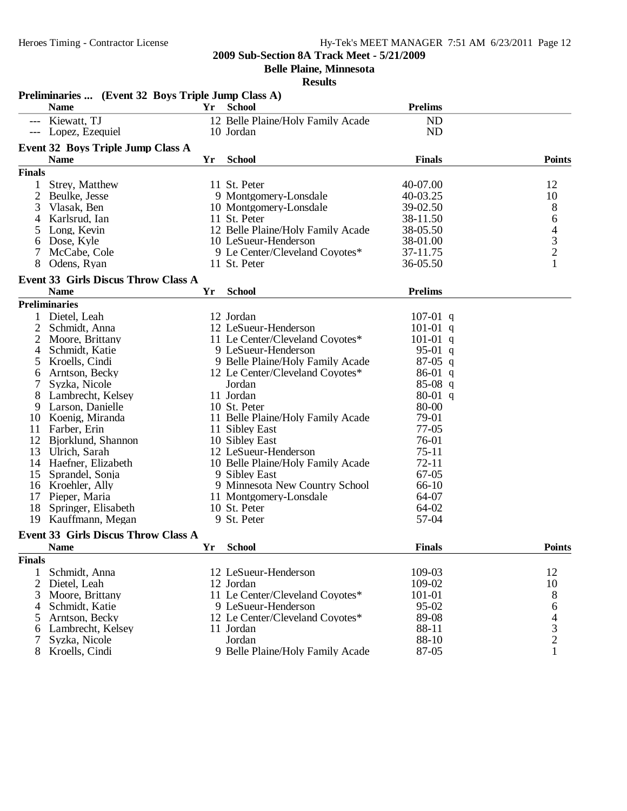**Belle Plaine, Minnesota**

|                | Preliminaries  (Event 32 Boys Triple Jump Class A)        |    |                                   |                |                                            |
|----------------|-----------------------------------------------------------|----|-----------------------------------|----------------|--------------------------------------------|
|                | <b>Name</b>                                               | Yr | <b>School</b>                     | <b>Prelims</b> |                                            |
| ---            | Kiewatt, TJ                                               |    | 12 Belle Plaine/Holy Family Acade | <b>ND</b>      |                                            |
|                | Lopez, Ezequiel                                           |    | 10 Jordan                         | <b>ND</b>      |                                            |
|                | <b>Event 32 Boys Triple Jump Class A</b>                  |    |                                   |                |                                            |
|                | <b>Name</b>                                               | Yr | <b>School</b>                     | <b>Finals</b>  | <b>Points</b>                              |
| <b>Finals</b>  |                                                           |    |                                   |                |                                            |
| 1              | Strey, Matthew                                            |    | 11 St. Peter                      | 40-07.00       | 12                                         |
| $\overline{2}$ | Beulke, Jesse                                             |    | 9 Montgomery-Lonsdale             | 40-03.25       | 10                                         |
| 3              | Vlasak, Ben                                               |    | 10 Montgomery-Lonsdale            | 39-02.50       | 8                                          |
| 4              | Karlsrud, Ian                                             |    | 11 St. Peter                      | 38-11.50       | 6                                          |
| 5              | Long, Kevin                                               |    | 12 Belle Plaine/Holy Family Acade | 38-05.50       | $\overline{4}$                             |
| 6              | Dose, Kyle                                                |    | 10 LeSueur-Henderson              | 38-01.00       | $\mathfrak{Z}$                             |
|                | McCabe, Cole                                              |    | 9 Le Center/Cleveland Coyotes*    | 37-11.75       | $\sqrt{2}$                                 |
| 8              | Odens, Ryan                                               |    | 11 St. Peter                      | 36-05.50       | 1                                          |
|                |                                                           |    |                                   |                |                                            |
|                | <b>Event 33 Girls Discus Throw Class A</b><br><b>Name</b> | Yr | <b>School</b>                     | <b>Prelims</b> |                                            |
|                | <b>Preliminaries</b>                                      |    |                                   |                |                                            |
|                |                                                           |    |                                   |                |                                            |
|                | Dietel, Leah                                              |    | 12 Jordan                         | $107-01$ q     |                                            |
| 2              | Schmidt, Anna                                             |    | 12 LeSueur-Henderson              | $101-01$ q     |                                            |
|                | Moore, Brittany                                           |    | 11 Le Center/Cleveland Coyotes*   | $101-01$ q     |                                            |
| 4              | Schmidt, Katie                                            |    | 9 LeSueur-Henderson               | 95-01 q        |                                            |
| 5              | Kroells, Cindi                                            |    | 9 Belle Plaine/Holy Family Acade  | $87-05$ q      |                                            |
| 6              | Arntson, Becky                                            |    | 12 Le Center/Cleveland Coyotes*   | $86-01$ q      |                                            |
|                | Syzka, Nicole                                             |    | Jordan                            | $85-08$ q      |                                            |
|                | Lambrecht, Kelsey                                         |    | 11 Jordan                         | $80-01$ q      |                                            |
| 9              | Larson, Danielle                                          |    | 10 St. Peter                      | 80-00          |                                            |
| 10             | Koenig, Miranda                                           |    | 11 Belle Plaine/Holy Family Acade | 79-01          |                                            |
| 11             | Farber, Erin                                              |    | 11 Sibley East                    | $77-05$        |                                            |
| 12             | Bjorklund, Shannon                                        |    | 10 Sibley East                    | 76-01          |                                            |
| 13             | Ulrich, Sarah                                             |    | 12 LeSueur-Henderson              | $75-11$        |                                            |
| 14             | Haefner, Elizabeth                                        |    | 10 Belle Plaine/Holy Family Acade | $72 - 11$      |                                            |
| 15             | Sprandel, Sonja                                           |    | 9 Sibley East                     | $67 - 05$      |                                            |
|                | 16 Kroehler, Ally                                         |    | 9 Minnesota New Country School    | 66-10          |                                            |
|                | 17 Pieper, Maria                                          |    | 11 Montgomery-Lonsdale            | 64-07          |                                            |
| 18             | Springer, Elisabeth                                       |    | 10 St. Peter                      | 64-02          |                                            |
| 19             | Kauffmann, Megan                                          |    | 9 St. Peter                       | 57-04          |                                            |
|                | <b>Event 33 Girls Discus Throw Class A</b>                |    |                                   |                |                                            |
|                | <b>Name</b>                                               |    | Yr School                         | <b>Finals</b>  | <b>Points</b>                              |
| <b>Finals</b>  |                                                           |    |                                   |                |                                            |
| 1              | Schmidt, Anna                                             |    | 12 LeSueur-Henderson              | 109-03         | 12                                         |
| $\overline{2}$ | Dietel, Leah                                              |    | 12 Jordan                         | 109-02         | 10                                         |
| 3              | Moore, Brittany                                           |    | 11 Le Center/Cleveland Coyotes*   | 101-01         | 8                                          |
| 4              | Schmidt, Katie                                            |    | 9 LeSueur-Henderson               | 95-02          | 6                                          |
| 5              | Arntson, Becky                                            |    | 12 Le Center/Cleveland Coyotes*   | 89-08          |                                            |
| 6              | Lambrecht, Kelsey                                         |    | 11 Jordan                         | 88-11          | $\begin{array}{c} 4 \\ 3 \\ 2 \end{array}$ |
|                | Syzka, Nicole                                             |    | Jordan                            | 88-10          |                                            |
| 8              | Kroells, Cindi                                            |    | 9 Belle Plaine/Holy Family Acade  | 87-05          | $\mathbf{1}$                               |
|                |                                                           |    |                                   |                |                                            |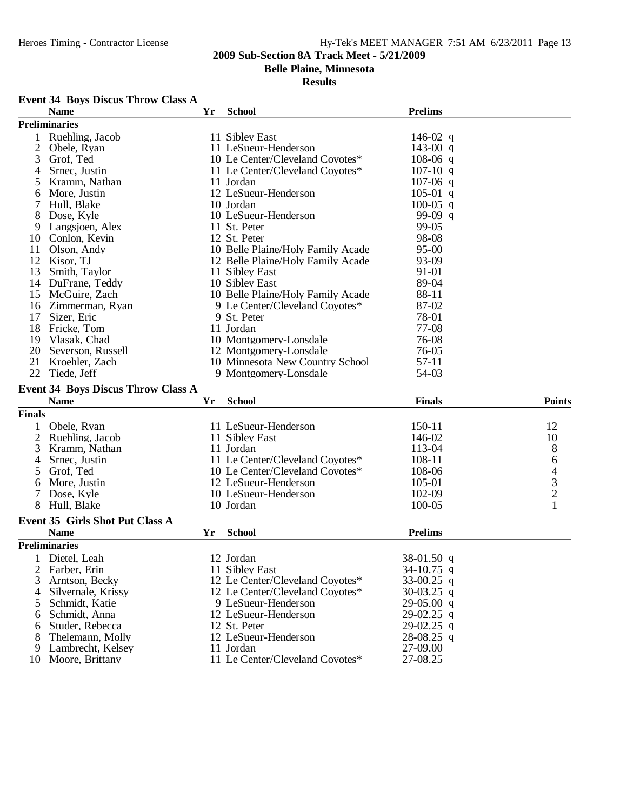**Belle Plaine, Minnesota**

#### **Results**

## **Event 34 Boys Discus Throw Class A**

|                | <b>Name</b>                               | Yr | <b>School</b>                                | <b>Prelims</b>       |                                            |
|----------------|-------------------------------------------|----|----------------------------------------------|----------------------|--------------------------------------------|
|                | <b>Preliminaries</b>                      |    |                                              |                      |                                            |
|                | Ruehling, Jacob                           |    | 11 Sibley East                               | 146-02 q             |                                            |
| $\overline{2}$ | Obele, Ryan                               |    | 11 LeSueur-Henderson                         | 143-00 q             |                                            |
| 3              | Grof, Ted                                 |    | 10 Le Center/Cleveland Coyotes*              | $108-06$ q           |                                            |
| 4              | Srnec, Justin                             |    | 11 Le Center/Cleveland Coyotes*              | $107-10$ q           |                                            |
| 5              | Kramm, Nathan                             |    | 11 Jordan                                    | $107-06$ q           |                                            |
| 6              | More, Justin                              |    | 12 LeSueur-Henderson                         | $105-01$ q           |                                            |
|                | Hull, Blake                               |    | 10 Jordan                                    | $100-05$ q           |                                            |
| 8              | Dose, Kyle                                |    | 10 LeSueur-Henderson                         | 99-09 q              |                                            |
| 9              | Langsjoen, Alex                           |    | 11 St. Peter                                 | 99-05                |                                            |
| 10             | Conlon, Kevin                             |    | 12 St. Peter                                 | 98-08                |                                            |
| 11             | Olson, Andy                               |    | 10 Belle Plaine/Holy Family Acade            | 95-00                |                                            |
| 12             | Kisor, TJ                                 |    | 12 Belle Plaine/Holy Family Acade            | 93-09                |                                            |
| 13             | Smith, Taylor                             |    | 11 Sibley East                               | 91-01                |                                            |
| 14             | DuFrane, Teddy                            |    | 10 Sibley East                               | 89-04                |                                            |
| 15             | McGuire, Zach                             |    | 10 Belle Plaine/Holy Family Acade            | 88-11                |                                            |
| 16             | Zimmerman, Ryan                           |    | 9 Le Center/Cleveland Coyotes*               | 87-02                |                                            |
| 17             | Sizer, Eric                               |    | 9 St. Peter                                  | 78-01                |                                            |
| 18             | Fricke, Tom                               |    | 11 Jordan                                    | 77-08                |                                            |
| 19             | Vlasak, Chad                              |    | 10 Montgomery-Lonsdale                       | 76-08                |                                            |
| 20             | Severson, Russell                         |    | 12 Montgomery-Lonsdale                       | 76-05                |                                            |
| 21             | Kroehler, Zach                            |    | 10 Minnesota New Country School              | $57-11$              |                                            |
| 22             | Tiede, Jeff                               |    | 9 Montgomery-Lonsdale                        | 54-03                |                                            |
|                |                                           |    |                                              |                      |                                            |
|                | <b>Event 34 Boys Discus Throw Class A</b> |    |                                              |                      |                                            |
|                |                                           |    |                                              |                      |                                            |
|                | <b>Name</b>                               | Yr | <b>School</b>                                | <b>Finals</b>        | <b>Points</b>                              |
| <b>Finals</b>  |                                           |    |                                              |                      |                                            |
|                | Obele, Ryan                               |    | 11 LeSueur-Henderson                         | 150-11               | 12                                         |
| $\overline{2}$ | Ruehling, Jacob                           |    | 11 Sibley East                               | 146-02               | 10                                         |
| 3              | Kramm, Nathan                             |    | 11 Jordan                                    | 113-04               | 8                                          |
| 4              | Srnec, Justin                             |    | 11 Le Center/Cleveland Coyotes*              | 108-11               | 6                                          |
| 5              | Grof, Ted                                 |    | 10 Le Center/Cleveland Coyotes*              | 108-06               |                                            |
| 6              | More, Justin                              |    | 12 LeSueur-Henderson                         | 105-01               |                                            |
|                | Dose, Kyle                                |    | 10 LeSueur-Henderson                         | 102-09               | $\begin{array}{c} 4 \\ 3 \\ 2 \end{array}$ |
| 8              | Hull, Blake                               |    | 10 Jordan                                    | 100-05               | 1                                          |
|                |                                           |    |                                              |                      |                                            |
|                | Event 35 Girls Shot Put Class A           |    |                                              |                      |                                            |
|                | <b>Name</b>                               | Yr | <b>School</b>                                | <b>Prelims</b>       |                                            |
|                | <b>Preliminaries</b>                      |    |                                              |                      |                                            |
|                | 1 Dietel, Leah                            |    | 12 Jordan                                    | $38-01.50$ q         |                                            |
| 2              | Farber, Erin                              |    | 11 Sibley East                               | 34-10.75 q           |                                            |
| 3              | Arntson, Becky                            |    | 12 Le Center/Cleveland Coyotes*              | $33-00.25$ q         |                                            |
| $\overline{4}$ | Silvernale, Krissy                        |    | 12 Le Center/Cleveland Coyotes*              | 30-03.25 q           |                                            |
| 5              | Schmidt, Katie                            |    | 9 LeSueur-Henderson                          | $29-05.00$ q         |                                            |
| 6              | Schmidt, Anna                             |    | 12 LeSueur-Henderson                         | 29-02.25 q           |                                            |
| 6              | Studer, Rebecca                           |    | 12 St. Peter                                 | $29-02.25$ q         |                                            |
|                | Thelemann, Molly                          |    | 12 LeSueur-Henderson                         | $28-08.25$ q         |                                            |
| 9<br>10        | Lambrecht, Kelsey<br>Moore, Brittany      |    | 11 Jordan<br>11 Le Center/Cleveland Coyotes* | 27-09.00<br>27-08.25 |                                            |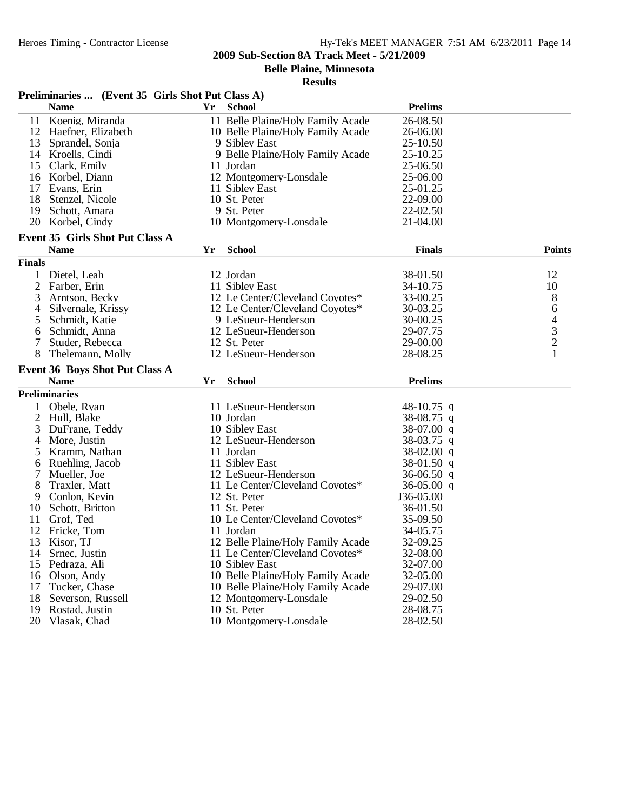**Belle Plaine, Minnesota**

|                | Preliminaries  (Event 35 Girls Shot Put Class A) |     |                                   |                |                                            |
|----------------|--------------------------------------------------|-----|-----------------------------------|----------------|--------------------------------------------|
|                | <b>Name</b>                                      | Yr. | <b>School</b>                     | <b>Prelims</b> |                                            |
|                | 11 Koenig, Miranda                               |     | 11 Belle Plaine/Holy Family Acade | 26-08.50       |                                            |
|                | 12 Haefner, Elizabeth                            |     | 10 Belle Plaine/Holy Family Acade | 26-06.00       |                                            |
| 13             | Sprandel, Sonja                                  |     | 9 Sibley East                     | 25-10.50       |                                            |
|                | 14 Kroells, Cindi                                |     | 9 Belle Plaine/Holy Family Acade  | 25-10.25       |                                            |
|                | 15 Clark, Emily                                  |     | 11 Jordan                         | 25-06.50       |                                            |
|                | 16 Korbel, Diann                                 |     | 12 Montgomery-Lonsdale            | 25-06.00       |                                            |
| 17             | Evans, Erin                                      |     | 11 Sibley East                    | 25-01.25       |                                            |
| 18             | Stenzel, Nicole                                  |     | 10 St. Peter                      | 22-09.00       |                                            |
| 19             | Schott, Amara                                    |     | 9 St. Peter                       | 22-02.50       |                                            |
| 20             | Korbel, Cindy                                    |     | 10 Montgomery-Lonsdale            | 21-04.00       |                                            |
|                | Event 35 Girls Shot Put Class A                  |     |                                   |                |                                            |
|                | <b>Name</b>                                      | Yr  | <b>School</b>                     | <b>Finals</b>  | <b>Points</b>                              |
| <b>Finals</b>  |                                                  |     |                                   |                |                                            |
| 1              | Dietel, Leah                                     |     | 12 Jordan                         | 38-01.50       | 12                                         |
| $\overline{2}$ | Farber, Erin                                     |     | 11 Sibley East                    | 34-10.75       | 10                                         |
| 3              | Arntson, Becky                                   |     | 12 Le Center/Cleveland Coyotes*   | 33-00.25       | 8                                          |
| 4              | Silvernale, Krissy                               |     | 12 Le Center/Cleveland Coyotes*   | 30-03.25       | 6                                          |
| 5              | Schmidt, Katie                                   |     | 9 LeSueur-Henderson               | 30-00.25       | $\begin{array}{c} 4 \\ 3 \\ 2 \end{array}$ |
| 6              | Schmidt, Anna                                    |     | 12 LeSueur-Henderson              | 29-07.75       |                                            |
| 7              | Studer, Rebecca                                  |     | 12 St. Peter                      | 29-00.00       |                                            |
| 8              | Thelemann, Molly                                 |     | 12 LeSueur-Henderson              | 28-08.25       |                                            |
|                | Event 36 Boys Shot Put Class A                   |     |                                   |                |                                            |
|                | <b>Name</b>                                      | Yr  | <b>School</b>                     | <b>Prelims</b> |                                            |
|                | <b>Preliminaries</b>                             |     |                                   |                |                                            |
|                | Obele, Ryan                                      |     | 11 LeSueur-Henderson              | 48-10.75 q     |                                            |
| 2              | Hull, Blake                                      |     | 10 Jordan                         | 38-08.75 q     |                                            |
| 3              | DuFrane, Teddy                                   |     | 10 Sibley East                    | 38-07.00 q     |                                            |
| 4              | More, Justin                                     |     | 12 LeSueur-Henderson              | $38-03.75$ q   |                                            |
| 5              | Kramm, Nathan                                    |     | 11 Jordan                         | $38-02.00$ q   |                                            |
| 6              | Ruehling, Jacob                                  |     | 11 Sibley East                    | $38-01.50$ q   |                                            |
| 7              | Mueller, Joe                                     |     | 12 LeSueur-Henderson              | 36-06.50 q     |                                            |
| 8              | Traxler, Matt                                    |     | 11 Le Center/Cleveland Coyotes*   | $36-05.00$ q   |                                            |
| 9              | Conlon, Kevin                                    |     | 12 St. Peter                      | J36-05.00      |                                            |
| 10             | Schott, Britton                                  |     | 11 St. Peter                      | 36-01.50       |                                            |
| 11             | Grof, Ted                                        |     | 10 Le Center/Cleveland Coyotes*   | 35-09.50       |                                            |
| 12             | Fricke, Tom                                      |     | 11 Jordan                         | 34-05.75       |                                            |
| 13             | Kisor, TJ                                        |     | 12 Belle Plaine/Holy Family Acade | 32-09.25       |                                            |
|                | 14 Srnec, Justin                                 |     | 11 Le Center/Cleveland Coyotes*   | 32-08.00       |                                            |
| 15             | Pedraza, Ali                                     |     | 10 Sibley East                    | 32-07.00       |                                            |
| 16             | Olson, Andy                                      |     | 10 Belle Plaine/Holy Family Acade | 32-05.00       |                                            |
| 17             | Tucker, Chase                                    |     | 10 Belle Plaine/Holy Family Acade | 29-07.00       |                                            |
| 18             | Severson, Russell                                |     | 12 Montgomery-Lonsdale            | 29-02.50       |                                            |
| 19             | Rostad, Justin                                   |     | 10 St. Peter                      | 28-08.75       |                                            |
| 20             | Vlasak, Chad                                     |     | 10 Montgomery-Lonsdale            | 28-02.50       |                                            |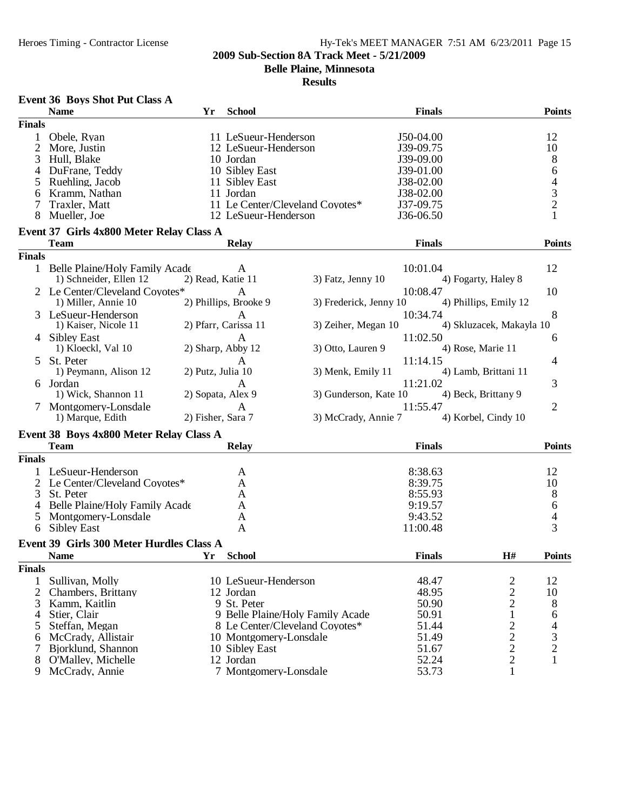**Belle Plaine, Minnesota**

|                | <b>Name</b>                              | Yr                | <b>School</b>               |                                  | <b>Finals</b>  |                                            | <b>Points</b>                 |
|----------------|------------------------------------------|-------------------|-----------------------------|----------------------------------|----------------|--------------------------------------------|-------------------------------|
| <b>Finals</b>  |                                          |                   |                             |                                  |                |                                            |                               |
|                | Obele, Ryan                              |                   | 11 LeSueur-Henderson        |                                  | J50-04.00      |                                            | 12                            |
| 2              | More, Justin                             |                   | 12 LeSueur-Henderson        |                                  | J39-09.75      |                                            | 10                            |
| 3              | Hull, Blake                              |                   | 10 Jordan                   |                                  | J39-09.00      |                                            | 8                             |
| 4              | DuFrane, Teddy                           |                   | 10 Sibley East              |                                  | J39-01.00      |                                            | 6                             |
| 5              | Ruehling, Jacob                          |                   | 11 Sibley East              |                                  | J38-02.00      |                                            | $\overline{\mathcal{L}}$      |
| 6              | Kramm, Nathan                            |                   | 11 Jordan                   |                                  | J38-02.00      |                                            | $\frac{3}{2}$                 |
|                | Traxler, Matt                            |                   |                             | 11 Le Center/Cleveland Coyotes*  | J37-09.75      |                                            |                               |
| 8              | Mueller, Joe                             |                   | 12 LeSueur-Henderson        |                                  | J36-06.50      |                                            | $\mathbf{1}$                  |
|                | Event 37 Girls 4x800 Meter Relay Class A |                   |                             |                                  |                |                                            |                               |
|                | <b>Team</b>                              |                   | <b>Relay</b>                |                                  | <b>Finals</b>  |                                            | <b>Points</b>                 |
| <b>Finals</b>  |                                          |                   |                             |                                  |                |                                            |                               |
|                | 1 Belle Plaine/Holy Family Acade         |                   | A                           |                                  | 10:01.04       |                                            | 12                            |
|                | 1) Schneider, Ellen 12                   | 2) Read, Katie 11 |                             | 3) Fatz, Jenny 10                |                | 4) Fogarty, Haley 8                        |                               |
|                | 2 Le Center/Cleveland Coyotes*           |                   | A                           |                                  | 10:08.47       |                                            | 10                            |
|                | 1) Miller, Annie 10                      |                   | 2) Phillips, Brooke 9       | 3) Frederick, Jenny 10           |                | 4) Phillips, Emily 12                      |                               |
|                | 3 LeSueur-Henderson                      |                   | A                           |                                  | 10:34.74       |                                            | 8                             |
|                | 1) Kaiser, Nicole 11                     |                   | 2) Pfarr, Carissa 11        | 3) Zeiher, Megan 10              |                | 4) Skluzacek, Makayla 10                   |                               |
|                | 4 Sibley East                            |                   | A                           |                                  | 11:02.50       |                                            | 6                             |
|                | 1) Kloeckl, Val 10                       |                   | 2) Sharp, Abby 12           | 3) Otto, Lauren 9                |                | 4) Rose, Marie 11                          |                               |
| 5.             | St. Peter                                |                   | A                           |                                  | 11:14.15       |                                            | 4                             |
|                | 1) Peymann, Alison 12                    | 2) Putz, Julia 10 |                             | 3) Menk, Emily 11                |                | 4) Lamb, Brittani 11                       |                               |
|                | Jordan                                   |                   | A                           |                                  | 11:21.02       |                                            | 3                             |
|                | 1) Wick, Shannon 11                      | 2) Sopata, Alex 9 |                             | 3) Gunderson, Kate 10            |                | 4) Beck, Brittany 9                        |                               |
|                | Montgomery-Lonsdale                      |                   | A                           |                                  | 11:55.47       |                                            | $\overline{2}$                |
|                | 1) Marque, Edith                         | 2) Fisher, Sara 7 |                             | 3) McCrady, Annie 7              |                | 4) Korbel, Cindy 10                        |                               |
|                | Event 38 Boys 4x800 Meter Relay Class A  |                   |                             |                                  |                |                                            |                               |
|                | <b>Team</b>                              |                   | <b>Relay</b>                |                                  | <b>Finals</b>  |                                            | <b>Points</b>                 |
| <b>Finals</b>  |                                          |                   |                             |                                  |                |                                            |                               |
|                | LeSueur-Henderson                        |                   |                             |                                  | 8:38.63        |                                            | 12                            |
|                | 2 Le Center/Cleveland Coyotes*           |                   | A<br>A                      |                                  | 8:39.75        |                                            | 10                            |
| 3              | St. Peter                                |                   | A                           |                                  | 8:55.93        |                                            |                               |
| 4              | Belle Plaine/Holy Family Acade           |                   | A                           |                                  | 9:19.57        |                                            | 8                             |
| 5              | Montgomery-Lonsdale                      |                   | A                           |                                  | 9:43.52        |                                            | 6<br>$\overline{\mathcal{L}}$ |
| 6              | <b>Sibley East</b>                       |                   | A                           |                                  | 11:00.48       |                                            | 3                             |
|                |                                          |                   |                             |                                  |                |                                            |                               |
|                | Event 39 Girls 300 Meter Hurdles Class A |                   |                             |                                  |                | H#                                         |                               |
| <b>Finals</b>  | <b>Name</b>                              | Yr                | <b>School</b>               |                                  | <b>Finals</b>  |                                            | <b>Points</b>                 |
|                |                                          |                   |                             |                                  |                |                                            |                               |
| 1              | Sullivan, Molly                          |                   | 10 LeSueur-Henderson        |                                  | 48.47          | $\overline{\mathbf{c}}$                    | 12                            |
| $\overline{2}$ | Chambers, Brittany                       |                   | 12 Jordan<br>9 St. Peter    |                                  | 48.95          | $\frac{2}{2}$                              | 10                            |
| 3              | Kamm, Kaitlin                            |                   |                             | 9 Belle Plaine/Holy Family Acade | 50.90          | $\mathbf{1}$                               | 8                             |
| $\overline{4}$ | Stier, Clair                             |                   |                             | 8 Le Center/Cleveland Coyotes*   | 50.91          |                                            | 6                             |
| 5              | Steffan, Megan                           |                   | 10 Montgomery-Lonsdale      |                                  | 51.44<br>51.49 |                                            | $\overline{\mathcal{L}}$      |
| 6<br>7         | McCrady, Allistair<br>Bjorklund, Shannon |                   |                             |                                  | 51.67          | $\begin{array}{c} 2 \\ 2 \\ 2 \end{array}$ | 3                             |
| 8              | O'Malley, Michelle                       |                   | 10 Sibley East<br>12 Jordan |                                  | 52.24          |                                            | $\sqrt{2}$<br>$\mathbf{1}$    |
| 9              | McCrady, Annie                           |                   | 7 Montgomery-Lonsdale       |                                  | 53.73          | $\mathbf{1}$                               |                               |
|                |                                          |                   |                             |                                  |                |                                            |                               |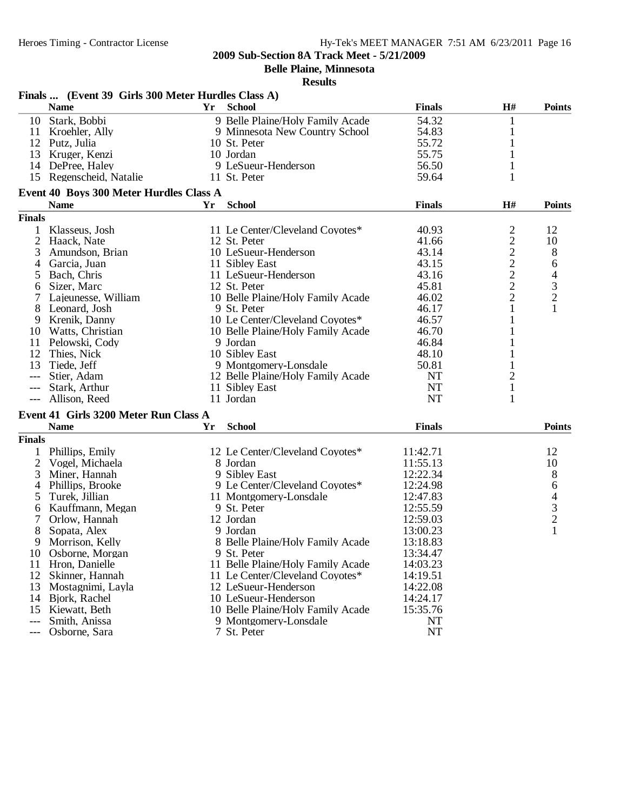**Belle Plaine, Minnesota**

| Finals  (Event 39 Girls 300 Meter Hurdles Class A) |                                         |    |                                   |               |                         |                                            |  |
|----------------------------------------------------|-----------------------------------------|----|-----------------------------------|---------------|-------------------------|--------------------------------------------|--|
|                                                    | <b>Name</b>                             | Yr | <b>School</b>                     | <b>Finals</b> | H#                      | <b>Points</b>                              |  |
| 10                                                 | Stark, Bobbi                            |    | 9 Belle Plaine/Holy Family Acade  | 54.32         | 1                       |                                            |  |
| 11                                                 | Kroehler, Ally                          |    | 9 Minnesota New Country School    | 54.83         | $\mathbf{1}$            |                                            |  |
|                                                    | 12 Putz, Julia                          |    | 10 St. Peter                      | 55.72         | 1                       |                                            |  |
| 13                                                 | Kruger, Kenzi                           |    | 10 Jordan                         | 55.75         |                         |                                            |  |
|                                                    | 14 DePree, Haley                        |    | 9 LeSueur-Henderson               | 56.50         |                         |                                            |  |
|                                                    | 15 Regenscheid, Natalie                 |    | 11 St. Peter                      | 59.64         | 1                       |                                            |  |
|                                                    | Event 40 Boys 300 Meter Hurdles Class A |    |                                   |               |                         |                                            |  |
|                                                    | <b>Name</b>                             | Yr | <b>School</b>                     | <b>Finals</b> | H#                      | <b>Points</b>                              |  |
| <b>Finals</b>                                      |                                         |    |                                   |               |                         |                                            |  |
|                                                    | Klasseus, Josh                          |    | 11 Le Center/Cleveland Coyotes*   | 40.93         | $\overline{c}$          | 12                                         |  |
| $\overline{2}$                                     | Haack, Nate                             |    | 12 St. Peter                      | 41.66         |                         | 10                                         |  |
| 3                                                  | Amundson, Brian                         |    | 10 LeSueur-Henderson              | 43.14         |                         | 8                                          |  |
| 4                                                  | Garcia, Juan                            |    | 11 Sibley East                    | 43.15         |                         | 6                                          |  |
| 5                                                  | Bach, Chris                             |    | 11 LeSueur-Henderson              | 43.16         | $2222$<br>$222$         | $\overline{4}$                             |  |
| 6                                                  | Sizer, Marc                             |    | 12 St. Peter                      | 45.81         |                         |                                            |  |
|                                                    | Lajeunesse, William                     |    | 10 Belle Plaine/Holy Family Acade | 46.02         |                         | $\frac{3}{2}$                              |  |
| 8                                                  | Leonard, Josh                           |    | 9 St. Peter                       | 46.17         | 1                       | $\mathbf{1}$                               |  |
| 9                                                  | Krenik, Danny                           |    | 10 Le Center/Cleveland Coyotes*   | 46.57         |                         |                                            |  |
| 10                                                 | Watts, Christian                        |    | 10 Belle Plaine/Holy Family Acade | 46.70         |                         |                                            |  |
| 11                                                 | Pelowski, Cody                          |    | 9 Jordan                          | 46.84         |                         |                                            |  |
| 12                                                 | Thies, Nick                             |    | 10 Sibley East                    | 48.10         |                         |                                            |  |
| 13                                                 | Tiede, Jeff                             |    | 9 Montgomery-Lonsdale             | 50.81         |                         |                                            |  |
| ---                                                | Stier, Adam                             |    | 12 Belle Plaine/Holy Family Acade | <b>NT</b>     | $\overline{\mathbf{c}}$ |                                            |  |
|                                                    | Stark, Arthur                           |    | 11 Sibley East                    | <b>NT</b>     | $\mathbf{1}$            |                                            |  |
| $---$                                              | Allison, Reed                           |    | 11 Jordan                         | <b>NT</b>     | 1                       |                                            |  |
|                                                    | Event 41 Girls 3200 Meter Run Class A   |    |                                   |               |                         |                                            |  |
|                                                    | <b>Name</b>                             | Yr | <b>School</b>                     | <b>Finals</b> |                         | <b>Points</b>                              |  |
| <b>Finals</b>                                      |                                         |    |                                   |               |                         |                                            |  |
|                                                    | Phillips, Emily                         |    | 12 Le Center/Cleveland Coyotes*   | 11:42.71      |                         | 12                                         |  |
| 2                                                  | Vogel, Michaela                         |    | 8 Jordan                          | 11:55.13      |                         | 10                                         |  |
| 3                                                  | Miner, Hannah                           |    | 9 Sibley East                     | 12:22.34      |                         | 8                                          |  |
| 4                                                  | Phillips, Brooke                        |    | 9 Le Center/Cleveland Coyotes*    | 12:24.98      |                         | 6                                          |  |
| 5                                                  | Turek, Jillian                          |    | 11 Montgomery-Lonsdale            | 12:47.83      |                         |                                            |  |
| 6                                                  | Kauffmann, Megan                        |    | 9 St. Peter                       | 12:55.59      |                         | $\begin{array}{c} 4 \\ 3 \\ 2 \end{array}$ |  |
| 7                                                  | Orlow, Hannah                           |    | 12 Jordan                         | 12:59.03      |                         |                                            |  |
| 8                                                  | Sopata, Alex                            |    | 9 Jordan                          | 13:00.23      |                         | $\mathbf{1}$                               |  |
| 9                                                  | Morrison, Kelly                         |    | 8 Belle Plaine/Holy Family Acade  | 13:18.83      |                         |                                            |  |
| 10                                                 | Osborne, Morgan                         |    | 9 St. Peter                       | 13:34.47      |                         |                                            |  |
| 11                                                 | Hron, Danielle                          |    | 11 Belle Plaine/Holy Family Acade | 14:03.23      |                         |                                            |  |
| 12                                                 | Skinner, Hannah                         |    | 11 Le Center/Cleveland Coyotes*   | 14:19.51      |                         |                                            |  |
| 13                                                 | Mostagnimi, Layla                       |    | 12 LeSueur-Henderson              | 14:22.08      |                         |                                            |  |
| 14                                                 | Bjork, Rachel                           |    | 10 LeSueur-Henderson              | 14:24.17      |                         |                                            |  |
| 15                                                 | Kiewatt, Beth                           |    | 10 Belle Plaine/Holy Family Acade | 15:35.76      |                         |                                            |  |
| $---$                                              | Smith, Anissa                           |    | 9 Montgomery-Lonsdale             | NT            |                         |                                            |  |
| $\qquad \qquad - -$                                | Osborne, Sara                           |    | 7 St. Peter                       | <b>NT</b>     |                         |                                            |  |
|                                                    |                                         |    |                                   |               |                         |                                            |  |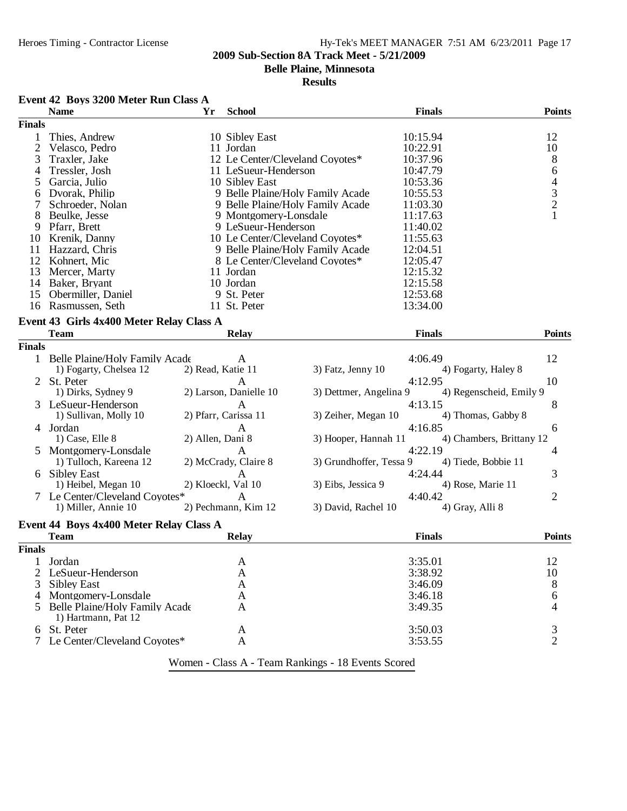## Heroes Timing - Contractor License Hy-Tek's MEET MANAGER 7:51 AM 6/23/2011 Page 17

### **2009 Sub-Section 8A Track Meet - 5/21/2009**

**Belle Plaine, Minnesota**

#### **Results**

## **Event 42 Boys 3200 Meter Run Class A**

|                | <b>Name</b>                              | Yr                | <b>School</b>                   |                                  | <b>Finals</b>            | <b>Points</b>                                   |
|----------------|------------------------------------------|-------------------|---------------------------------|----------------------------------|--------------------------|-------------------------------------------------|
| <b>Finals</b>  |                                          |                   |                                 |                                  |                          |                                                 |
| 1              | Thies, Andrew                            |                   | 10 Sibley East                  |                                  | 10:15.94                 | 12                                              |
| $\overline{c}$ | Velasco, Pedro                           |                   | 11 Jordan                       |                                  | 10:22.91                 | 10                                              |
| 3              | Traxler, Jake                            |                   | 12 Le Center/Cleveland Coyotes* |                                  | 10:37.96                 | $8\phantom{1}$                                  |
| 4              | Tressler, Josh                           |                   | 11 LeSueur-Henderson            |                                  | 10:47.79                 | $\boldsymbol{6}$                                |
| 5              | Garcia, Julio                            |                   | 10 Sibley East                  |                                  | 10:53.36                 |                                                 |
| 6              | Dvorak, Philip                           |                   |                                 | 9 Belle Plaine/Holy Family Acade | 10:55.53                 |                                                 |
| 7              | Schroeder, Nolan                         |                   |                                 | 9 Belle Plaine/Holy Family Acade | 11:03.30                 | $\begin{array}{c} 4 \\ 3 \\ 2 \\ 1 \end{array}$ |
| 8              | Beulke, Jesse                            |                   | 9 Montgomery-Lonsdale           |                                  | 11:17.63                 |                                                 |
| 9              | Pfarr, Brett                             |                   | 9 LeSueur-Henderson             |                                  | 11:40.02                 |                                                 |
| 10             | Krenik, Danny                            |                   | 10 Le Center/Cleveland Coyotes* |                                  | 11:55.63                 |                                                 |
|                |                                          |                   |                                 |                                  |                          |                                                 |
| 11             | Hazzard, Chris                           |                   |                                 | 9 Belle Plaine/Holy Family Acade | 12:04.51                 |                                                 |
| 12             | Kohnert, Mic                             |                   | 8 Le Center/Cleveland Coyotes*  |                                  | 12:05.47                 |                                                 |
| 13             | Mercer, Marty                            |                   | 11 Jordan                       |                                  | 12:15.32                 |                                                 |
| 14             | Baker, Bryant                            |                   | 10 Jordan                       |                                  | 12:15.58                 |                                                 |
| 15             | Obermiller, Daniel                       |                   | 9 St. Peter                     |                                  | 12:53.68                 |                                                 |
|                | 16 Rasmussen, Seth                       |                   | 11 St. Peter                    |                                  | 13:34.00                 |                                                 |
|                | Event 43 Girls 4x400 Meter Relay Class A |                   |                                 |                                  |                          |                                                 |
|                | <b>Team</b>                              |                   | <b>Relay</b>                    |                                  | <b>Finals</b>            | <b>Points</b>                                   |
| <b>Finals</b>  |                                          |                   |                                 |                                  |                          |                                                 |
|                | 1 Belle Plaine/Holy Family Acade         |                   |                                 |                                  | 4:06.49                  | 12                                              |
|                | 1) Fogarty, Chelsea 12                   | 2) Read, Katie 11 | A                               | 3) Fatz, Jenny 10                | 4) Fogarty, Haley 8      |                                                 |
|                |                                          |                   |                                 |                                  |                          |                                                 |
|                | 2 St. Peter                              |                   | A                               |                                  | 4:12.95                  | 10                                              |
|                | 1) Dirks, Sydney 9                       |                   | 2) Larson, Danielle 10          | 3) Dettmer, Angelina 9           | 4) Regenscheid, Emily 9  |                                                 |
|                | 3 LeSueur-Henderson                      |                   | A                               |                                  | 4:13.15                  | 8                                               |
|                | 1) Sullivan, Molly 10                    |                   | 2) Pfarr, Carissa 11            | 3) Zeiher, Megan 10              | 4) Thomas, Gabby 8       |                                                 |
|                | 4 Jordan                                 |                   | A                               |                                  | 4:16.85                  | 6                                               |
|                | 1) Case, Elle 8                          | 2) Allen, Dani 8  |                                 | 3) Hooper, Hannah 11             | 4) Chambers, Brittany 12 |                                                 |
|                | Montgomery-Lonsdale                      |                   | A                               |                                  | 4:22.19                  | 4                                               |
|                | 1) Tulloch, Kareena 12                   |                   | 2) McCrady, Claire 8            | 3) Grundhoffer, Tessa 9          | 4) Tiede, Bobbie 11      |                                                 |
|                | 6 Sibley East                            |                   | A                               |                                  | 4:24.44                  | 3                                               |
|                | 1) Heibel, Megan 10                      |                   | 2) Kloeckl, Val 10              | 3) Eibs, Jessica 9               | 4) Rose, Marie 11        |                                                 |
|                | 7 Le Center/Cleveland Coyotes*           |                   | A                               |                                  | 4:40.42                  | $\mathbf{2}$                                    |
|                | 1) Miller, Annie 10                      |                   | 2) Pechmann, Kim 12             | 3) David, Rachel 10              | 4) Gray, Alli 8          |                                                 |
|                |                                          |                   |                                 |                                  |                          |                                                 |
|                | Event 44 Boys 4x400 Meter Relay Class A  |                   |                                 |                                  |                          |                                                 |
|                | <b>Team</b>                              |                   | <b>Relay</b>                    |                                  | <b>Finals</b>            | <b>Points</b>                                   |
| <b>Finals</b>  |                                          |                   |                                 |                                  |                          |                                                 |
| 1              | Jordan                                   |                   | A                               |                                  | 3:35.01                  | 12                                              |
| 2              | LeSueur-Henderson                        |                   | A                               |                                  | 3:38.92                  | 10                                              |
| 3              | <b>Sibley East</b>                       |                   | A                               |                                  | 3:46.09                  | 8                                               |
| 4              | Montgomery-Lonsdale                      |                   | A                               |                                  | 3:46.18                  | 6                                               |
| 5              | Belle Plaine/Holy Family Acade           |                   | A                               |                                  | 3:49.35                  | 4                                               |
|                | 1) Hartmann, Pat 12                      |                   |                                 |                                  |                          |                                                 |
|                | 6 St. Peter                              |                   | A                               |                                  | 3:50.03                  | 3                                               |
|                | 7 Le Center/Cleveland Coyotes*           |                   | A                               |                                  | 3:53.55                  | $\overline{2}$                                  |
|                |                                          |                   |                                 |                                  |                          |                                                 |
|                |                                          |                   |                                 |                                  |                          |                                                 |

Women - Class A - Team Rankings - 18 Events Scored